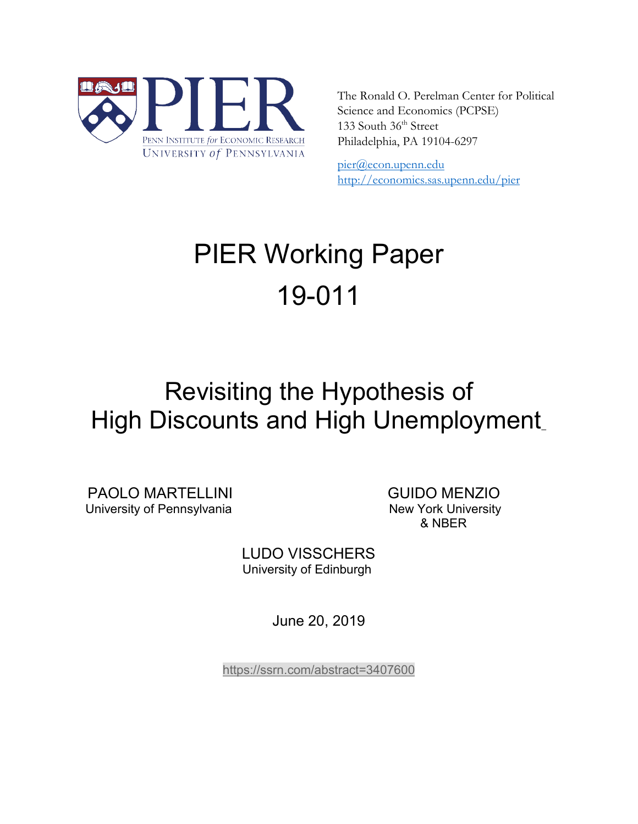

The Ronald O. Perelman Center for Political Science and Economics (PCPSE) 133 South 36<sup>th</sup> Street Philadelphia, PA 19104-6297

pier@econ.upenn.edu <http://economics.sas.upenn.edu/pier>

# PIER Working Paper 19-011

## Revisiting the Hypothesis of High Discounts and High Unemployment\_

PAOLO MARTELLINI GUIDO MENZIO<br>University of Pennsylvania New York University

& NBER

LUDO VISSCHERS University of Edinburgh

June 20, 2019

<https://ssrn.com/abstract=3407600>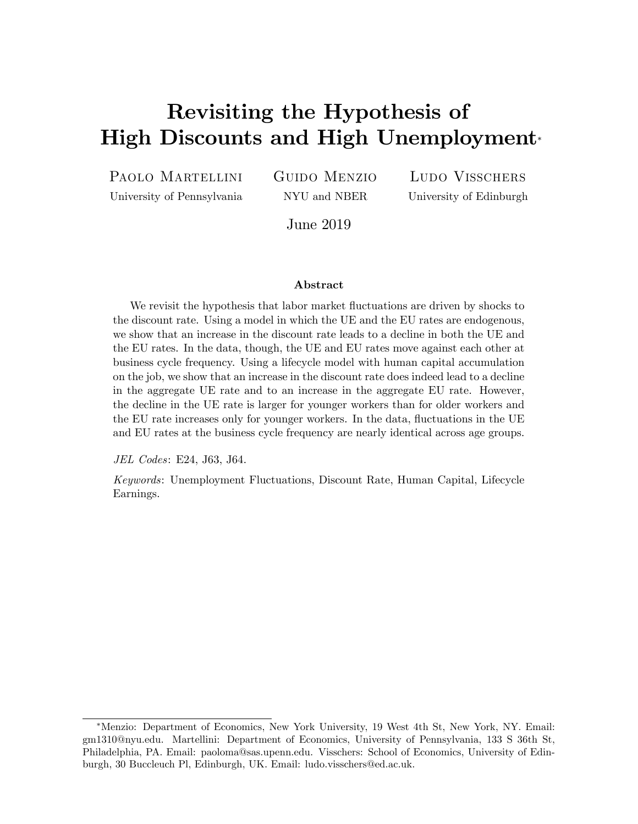## Revisiting the Hypothesis of High Discounts and High Unemployment

PAOLO MARTELLINI

University of Pennsylvania

Guido Menzio NYU and NBER

Ludo Visschers University of Edinburgh

June 2019

#### Abstract

We revisit the hypothesis that labor market fluctuations are driven by shocks to the discount rate. Using a model in which the UE and the EU rates are endogenous, we show that an increase in the discount rate leads to a decline in both the UE and the EU rates. In the data, though, the UE and EU rates move against each other at business cycle frequency. Using a lifecycle model with human capital accumulation on the job, we show that an increase in the discount rate does indeed lead to a decline in the aggregate UE rate and to an increase in the aggregate EU rate. However, the decline in the UE rate is larger for younger workers than for older workers and the EU rate increases only for younger workers. In the data, fluctuations in the UE and EU rates at the business cycle frequency are nearly identical across age groups.

JEL Codes: E24, J63, J64.

Keywords: Unemployment Fluctuations, Discount Rate, Human Capital, Lifecycle Earnings.

Menzio: Department of Economics, New York University, 19 West 4th St, New York, NY. Email: gm1310@nyu.edu. Martellini: Department of Economics, University of Pennsylvania, 133 S 36th St, Philadelphia, PA. Email: paoloma@sas.upenn.edu. Visschers: School of Economics, University of Edinburgh, 30 Buccleuch Pl, Edinburgh, UK. Email: ludo.visschers@ed.ac.uk.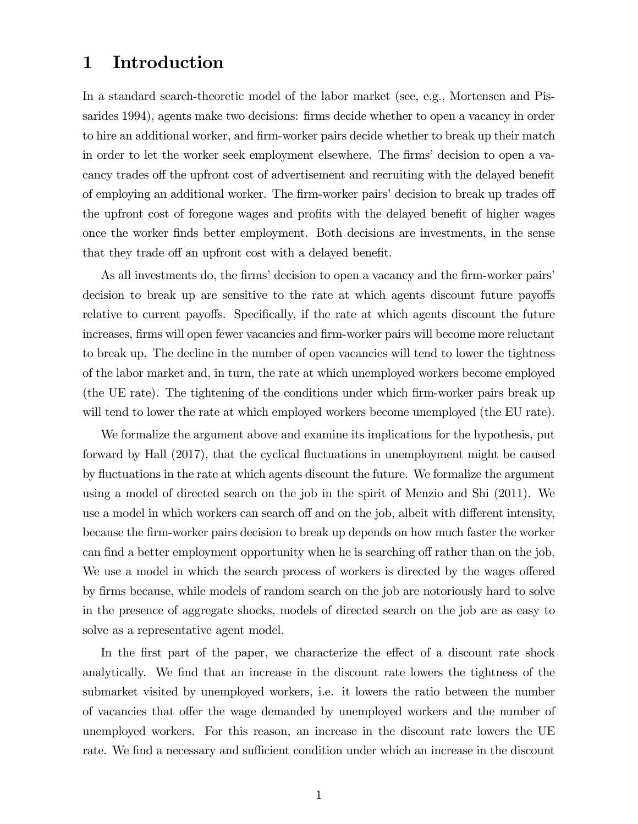## 1 Introduction

In a standard search-theoretic model of the labor market (see, e.g., Mortensen and Pissarides 1994), agents make two decisions: firms decide whether to open a vacancy in order to hire an additional worker, and firm-worker pairs decide whether to break up their match in order to let the worker seek employment elsewhere. The firms' decision to open a vacancy trades of the upfront cost of advertisement and recruiting with the delayed benefit of employing an additional worker. The firm-worker pairs' decision to break up trades of the upfront cost of foregone wages and profits with the delayed benefit of higher wages once the worker Önds better employment. Both decisions are investments, in the sense that they trade off an upfront cost with a delayed benefit.

As all investments do, the firms' decision to open a vacancy and the firm-worker pairs' decision to break up are sensitive to the rate at which agents discount future payoffs relative to current payoffs. Specifically, if the rate at which agents discount the future increases, firms will open fewer vacancies and firm-worker pairs will become more reluctant to break up. The decline in the number of open vacancies will tend to lower the tightness of the labor market and, in turn, the rate at which unemployed workers become employed (the UE rate). The tightening of the conditions under which Örm-worker pairs break up will tend to lower the rate at which employed workers become unemployed (the EU rate).

We formalize the argument above and examine its implications for the hypothesis, put forward by Hall (2017), that the cyclical fluctuations in unemployment might be caused by áuctuations in the rate at which agents discount the future. We formalize the argument using a model of directed search on the job in the spirit of Menzio and Shi (2011). We use a model in which workers can search off and on the job, albeit with different intensity, because the Örm-worker pairs decision to break up depends on how much faster the worker can find a better employment opportunity when he is searching off rather than on the job. We use a model in which the search process of workers is directed by the wages offered by firms because, while models of random search on the job are notoriously hard to solve in the presence of aggregate shocks, models of directed search on the job are as easy to solve as a representative agent model.

In the first part of the paper, we characterize the effect of a discount rate shock analytically. We find that an increase in the discount rate lowers the tightness of the submarket visited by unemployed workers, i.e. it lowers the ratio between the number of vacancies that offer the wage demanded by unemployed workers and the number of unemployed workers. For this reason, an increase in the discount rate lowers the UE rate. We find a necessary and sufficient condition under which an increase in the discount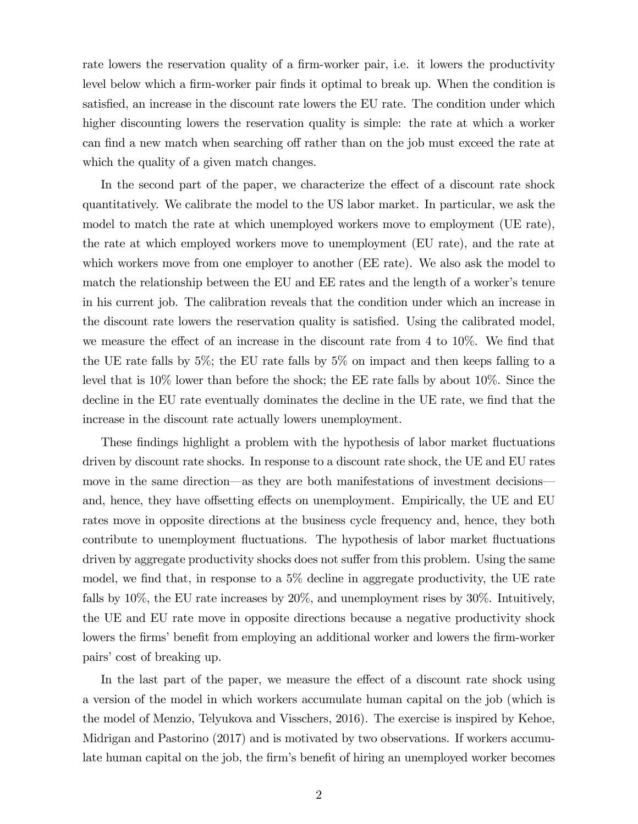rate lowers the reservation quality of a firm-worker pair, i.e. it lowers the productivity level below which a firm-worker pair finds it optimal to break up. When the condition is satisfied, an increase in the discount rate lowers the EU rate. The condition under which higher discounting lowers the reservation quality is simple: the rate at which a worker can find a new match when searching off rather than on the job must exceed the rate at which the quality of a given match changes.

In the second part of the paper, we characterize the effect of a discount rate shock quantitatively. We calibrate the model to the US labor market. In particular, we ask the model to match the rate at which unemployed workers move to employment (UE rate), the rate at which employed workers move to unemployment (EU rate), and the rate at which workers move from one employer to another (EE rate). We also ask the model to match the relationship between the EU and EE rates and the length of a worker's tenure in his current job. The calibration reveals that the condition under which an increase in the discount rate lowers the reservation quality is satisfied. Using the calibrated model, we measure the effect of an increase in the discount rate from 4 to  $10\%$ . We find that the UE rate falls by 5%; the EU rate falls by 5% on impact and then keeps falling to a level that is 10% lower than before the shock; the EE rate falls by about 10%. Since the decline in the EU rate eventually dominates the decline in the UE rate, we find that the increase in the discount rate actually lowers unemployment.

These findings highlight a problem with the hypothesis of labor market fluctuations driven by discount rate shocks. In response to a discount rate shock, the UE and EU rates move in the same direction—as they are both manifestations of investment decisions and, hence, they have offsetting effects on unemployment. Empirically, the UE and EU rates move in opposite directions at the business cycle frequency and, hence, they both contribute to unemployment fluctuations. The hypothesis of labor market fluctuations driven by aggregate productivity shocks does not suffer from this problem. Using the same model, we find that, in response to a  $5\%$  decline in aggregate productivity, the UE rate falls by 10%, the EU rate increases by 20%, and unemployment rises by 30%. Intuitively, the UE and EU rate move in opposite directions because a negative productivity shock lowers the firms' benefit from employing an additional worker and lowers the firm-worker pairs' cost of breaking up.

In the last part of the paper, we measure the effect of a discount rate shock using a version of the model in which workers accumulate human capital on the job (which is the model of Menzio, Telyukova and Visschers, 2016). The exercise is inspired by Kehoe, Midrigan and Pastorino (2017) and is motivated by two observations. If workers accumulate human capital on the job, the firm's benefit of hiring an unemployed worker becomes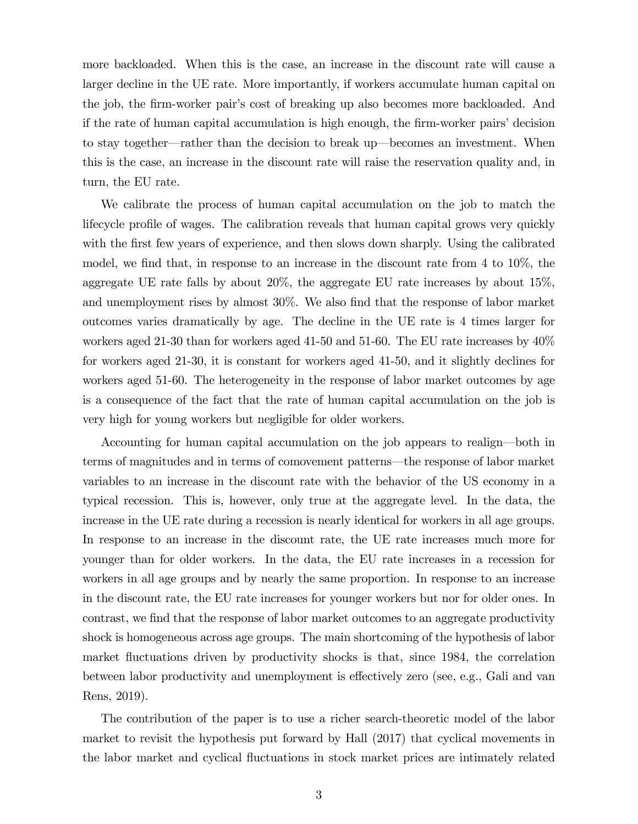more backloaded. When this is the case, an increase in the discount rate will cause a larger decline in the UE rate. More importantly, if workers accumulate human capital on the job, the firm-worker pair's cost of breaking up also becomes more backloaded. And if the rate of human capital accumulation is high enough, the firm-worker pairs' decision to stay together—rather than the decision to break up—becomes an investment. When this is the case, an increase in the discount rate will raise the reservation quality and, in turn, the EU rate.

We calibrate the process of human capital accumulation on the job to match the lifecycle profile of wages. The calibration reveals that human capital grows very quickly with the first few years of experience, and then slows down sharply. Using the calibrated model, we find that, in response to an increase in the discount rate from  $4$  to  $10\%$ , the aggregate UE rate falls by about 20%, the aggregate EU rate increases by about 15%, and unemployment rises by almost  $30\%$ . We also find that the response of labor market outcomes varies dramatically by age. The decline in the UE rate is 4 times larger for workers aged 21-30 than for workers aged 41-50 and 51-60. The EU rate increases by  $40\%$ for workers aged 21-30, it is constant for workers aged 41-50, and it slightly declines for workers aged 51-60. The heterogeneity in the response of labor market outcomes by age is a consequence of the fact that the rate of human capital accumulation on the job is very high for young workers but negligible for older workers.

Accounting for human capital accumulation on the job appears to realign—both in terms of magnitudes and in terms of comovement patterns—the response of labor market variables to an increase in the discount rate with the behavior of the US economy in a typical recession. This is, however, only true at the aggregate level. In the data, the increase in the UE rate during a recession is nearly identical for workers in all age groups. In response to an increase in the discount rate, the UE rate increases much more for younger than for older workers. In the data, the EU rate increases in a recession for workers in all age groups and by nearly the same proportion. In response to an increase in the discount rate, the EU rate increases for younger workers but nor for older ones. In contrast, we find that the response of labor market outcomes to an aggregate productivity shock is homogeneous across age groups. The main shortcoming of the hypothesis of labor market fluctuations driven by productivity shocks is that, since 1984, the correlation between labor productivity and unemployment is effectively zero (see, e.g., Gali and van Rens, 2019).

The contribution of the paper is to use a richer search-theoretic model of the labor market to revisit the hypothesis put forward by Hall (2017) that cyclical movements in the labor market and cyclical fluctuations in stock market prices are intimately related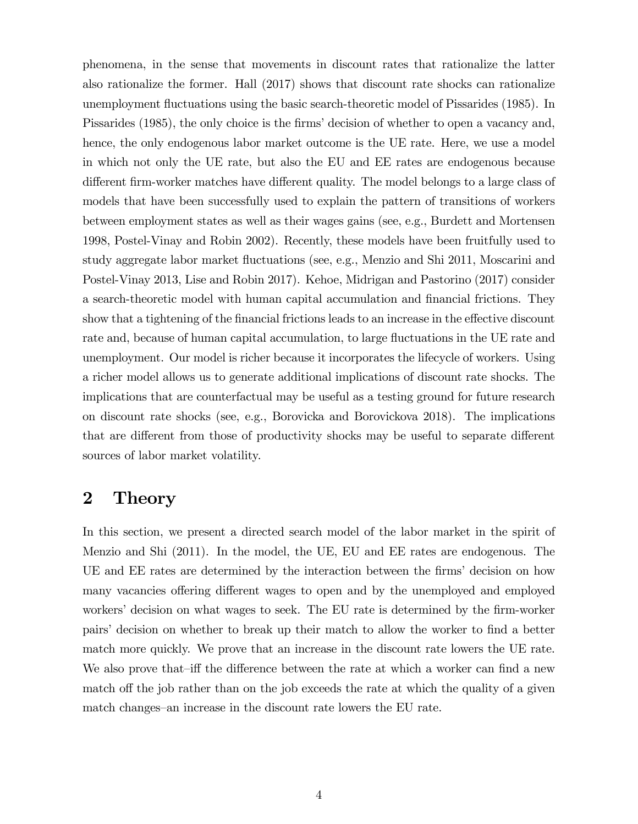phenomena, in the sense that movements in discount rates that rationalize the latter also rationalize the former. Hall (2017) shows that discount rate shocks can rationalize unemployment áuctuations using the basic search-theoretic model of Pissarides (1985). In Pissarides (1985), the only choice is the firms' decision of whether to open a vacancy and, hence, the only endogenous labor market outcome is the UE rate. Here, we use a model in which not only the UE rate, but also the EU and EE rates are endogenous because different firm-worker matches have different quality. The model belongs to a large class of models that have been successfully used to explain the pattern of transitions of workers between employment states as well as their wages gains (see, e.g., Burdett and Mortensen 1998, Postel-Vinay and Robin 2002). Recently, these models have been fruitfully used to study aggregate labor market áuctuations (see, e.g., Menzio and Shi 2011, Moscarini and Postel-Vinay 2013, Lise and Robin 2017). Kehoe, Midrigan and Pastorino (2017) consider a search-theoretic model with human capital accumulation and financial frictions. They show that a tightening of the financial frictions leads to an increase in the effective discount rate and, because of human capital accumulation, to large fluctuations in the UE rate and unemployment. Our model is richer because it incorporates the lifecycle of workers. Using a richer model allows us to generate additional implications of discount rate shocks. The implications that are counterfactual may be useful as a testing ground for future research on discount rate shocks (see, e.g., Borovicka and Borovickova 2018). The implications that are different from those of productivity shocks may be useful to separate different sources of labor market volatility.

## 2 Theory

In this section, we present a directed search model of the labor market in the spirit of Menzio and Shi (2011). In the model, the UE, EU and EE rates are endogenous. The UE and EE rates are determined by the interaction between the firms' decision on how many vacancies offering different wages to open and by the unemployed and employed workers' decision on what wages to seek. The EU rate is determined by the firm-worker pairs' decision on whether to break up their match to allow the worker to find a better match more quickly. We prove that an increase in the discount rate lowers the UE rate. We also prove that—iff the difference between the rate at which a worker can find a new match off the job rather than on the job exceeds the rate at which the quality of a given match changes—an increase in the discount rate lowers the EU rate.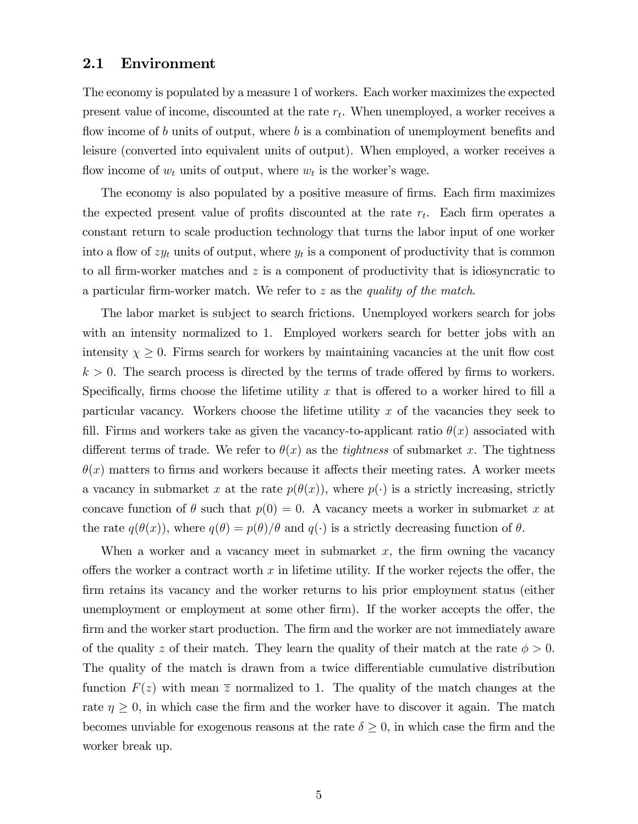#### 2.1 Environment

The economy is populated by a measure 1 of workers. Each worker maximizes the expected present value of income, discounted at the rate  $r_t$ . When unemployed, a worker receives a flow income of b units of output, where b is a combination of unemployment benefits and leisure (converted into equivalent units of output). When employed, a worker receives a flow income of  $w_t$  units of output, where  $w_t$  is the worker's wage.

The economy is also populated by a positive measure of firms. Each firm maximizes the expected present value of profits discounted at the rate  $r_t$ . Each firm operates a constant return to scale production technology that turns the labor input of one worker into a flow of  $zy_t$  units of output, where  $y_t$  is a component of productivity that is common to all firm-worker matches and  $z$  is a component of productivity that is idiosyncratic to a particular firm-worker match. We refer to  $z$  as the *quality of the match*.

The labor market is subject to search frictions. Unemployed workers search for jobs with an intensity normalized to 1. Employed workers search for better jobs with an intensity  $\chi \geq 0$ . Firms search for workers by maintaining vacancies at the unit flow cost  $k > 0$ . The search process is directed by the terms of trade offered by firms to workers. Specifically, firms choose the lifetime utility x that is offered to a worker hired to fill a particular vacancy. Workers choose the lifetime utility  $x$  of the vacancies they seek to fill. Firms and workers take as given the vacancy-to-applicant ratio  $\theta(x)$  associated with different terms of trade. We refer to  $\theta(x)$  as the *tightness* of submarket x. The tightness  $\theta(x)$  matters to firms and workers because it affects their meeting rates. A worker meets a vacancy in submarket x at the rate  $p(\theta(x))$ , where  $p(\cdot)$  is a strictly increasing, strictly concave function of  $\theta$  such that  $p(0) = 0$ . A vacancy meets a worker in submarket x at the rate  $q(\theta(x))$ , where  $q(\theta) = p(\theta)/\theta$  and  $q(\cdot)$  is a strictly decreasing function of  $\theta$ .

When a worker and a vacancy meet in submarket  $x$ , the firm owning the vacancy offers the worker a contract worth x in lifetime utility. If the worker rejects the offer, the Örm retains its vacancy and the worker returns to his prior employment status (either unemployment or employment at some other firm). If the worker accepts the offer, the firm and the worker start production. The firm and the worker are not immediately aware of the quality z of their match. They learn the quality of their match at the rate  $\phi > 0$ . The quality of the match is drawn from a twice differentiable cumulative distribution function  $F(z)$  with mean  $\overline{z}$  normalized to 1. The quality of the match changes at the rate  $\eta \geq 0$ , in which case the firm and the worker have to discover it again. The match becomes unviable for exogenous reasons at the rate  $\delta \geq 0$ , in which case the firm and the worker break up.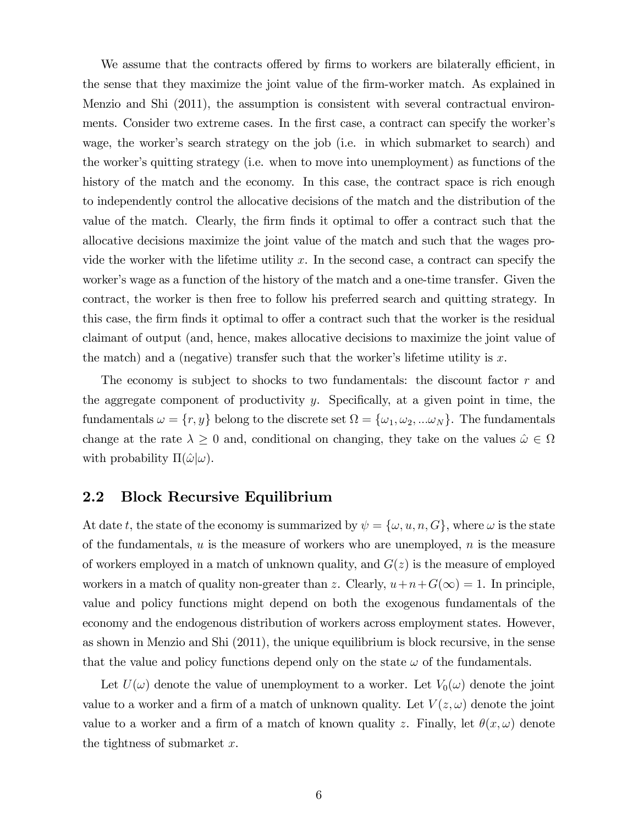We assume that the contracts offered by firms to workers are bilaterally efficient, in the sense that they maximize the joint value of the firm-worker match. As explained in Menzio and Shi (2011), the assumption is consistent with several contractual environments. Consider two extreme cases. In the first case, a contract can specify the worker's wage, the worker's search strategy on the job (i.e. in which submarket to search) and the worker's quitting strategy (i.e. when to move into unemployment) as functions of the history of the match and the economy. In this case, the contract space is rich enough to independently control the allocative decisions of the match and the distribution of the value of the match. Clearly, the firm finds it optimal to offer a contract such that the allocative decisions maximize the joint value of the match and such that the wages provide the worker with the lifetime utility x. In the second case, a contract can specify the worker's wage as a function of the history of the match and a one-time transfer. Given the contract, the worker is then free to follow his preferred search and quitting strategy. In this case, the firm finds it optimal to offer a contract such that the worker is the residual claimant of output (and, hence, makes allocative decisions to maximize the joint value of the match) and a (negative) transfer such that the worker's lifetime utility is  $x$ .

The economy is subject to shocks to two fundamentals: the discount factor  $r$  and the aggregate component of productivity y. Specifically, at a given point in time, the fundamentals  $\omega = \{r, y\}$  belong to the discrete set  $\Omega = \{\omega_1, \omega_2, ...\omega_N\}$ . The fundamentals change at the rate  $\lambda \geq 0$  and, conditional on changing, they take on the values  $\hat{\omega} \in \Omega$ with probability  $\Pi(\hat{\omega}|\omega)$ .

#### 2.2 Block Recursive Equilibrium

At date t, the state of the economy is summarized by  $\psi = {\omega, u, n, G}$ , where  $\omega$  is the state of the fundamentals,  $u$  is the measure of workers who are unemployed,  $n$  is the measure of workers employed in a match of unknown quality, and  $G(z)$  is the measure of employed workers in a match of quality non-greater than z. Clearly,  $u+n+G(\infty) = 1$ . In principle, value and policy functions might depend on both the exogenous fundamentals of the economy and the endogenous distribution of workers across employment states. However, as shown in Menzio and Shi (2011), the unique equilibrium is block recursive, in the sense that the value and policy functions depend only on the state  $\omega$  of the fundamentals.

Let  $U(\omega)$  denote the value of unemployment to a worker. Let  $V_0(\omega)$  denote the joint value to a worker and a firm of a match of unknown quality. Let  $V(z, \omega)$  denote the joint value to a worker and a firm of a match of known quality z. Finally, let  $\theta(x, \omega)$  denote the tightness of submarket  $x$ .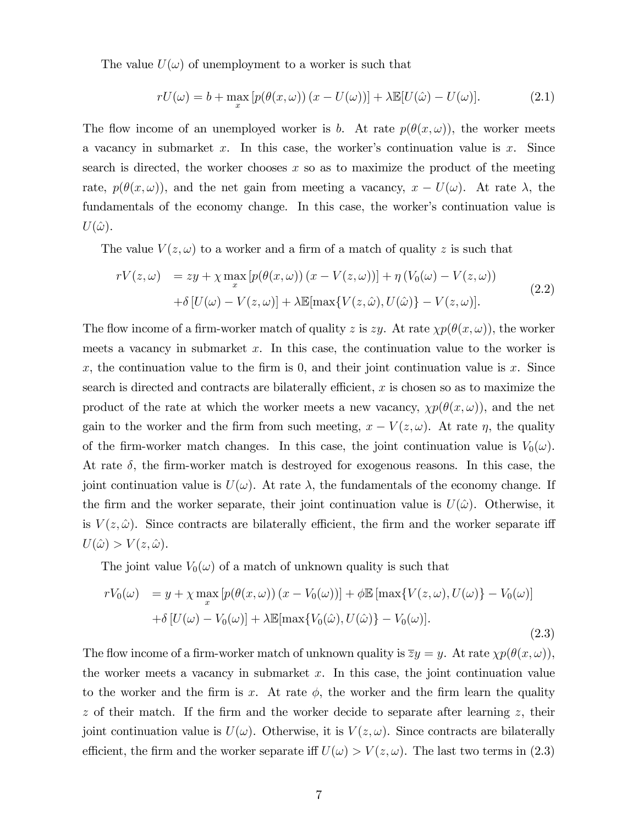The value  $U(\omega)$  of unemployment to a worker is such that

$$
rU(\omega) = b + \max_{x} \left[ p(\theta(x, \omega)) (x - U(\omega)) \right] + \lambda \mathbb{E}[U(\hat{\omega}) - U(\omega)]. \tag{2.1}
$$

The flow income of an unemployed worker is b. At rate  $p(\theta(x, \omega))$ , the worker meets a vacancy in submarket x. In this case, the worker's continuation value is x. Since search is directed, the worker chooses  $x$  so as to maximize the product of the meeting rate,  $p(\theta(x,\omega))$ , and the net gain from meeting a vacancy,  $x - U(\omega)$ . At rate  $\lambda$ , the fundamentals of the economy change. In this case, the worker's continuation value is  $U(\hat{\omega})$ .

The value  $V(z, \omega)$  to a worker and a firm of a match of quality z is such that

$$
rV(z,\omega) = zy + \chi \max_{x} \left[ p(\theta(x,\omega)) (x - V(z,\omega)) \right] + \eta \left( V_0(\omega) - V(z,\omega) \right)
$$

$$
+ \delta \left[ U(\omega) - V(z,\omega) \right] + \lambda \mathbb{E}[\max \{ V(z,\hat{\omega}), U(\hat{\omega}) \} - V(z,\omega)]. \tag{2.2}
$$

The flow income of a firm-worker match of quality z is zy. At rate  $\chi p(\theta(x,\omega))$ , the worker meets a vacancy in submarket  $x$ . In this case, the continuation value to the worker is x, the continuation value to the firm is 0, and their joint continuation value is x. Since search is directed and contracts are bilaterally efficient,  $x$  is chosen so as to maximize the product of the rate at which the worker meets a new vacancy,  $\chi p(\theta(x,\omega))$ , and the net gain to the worker and the firm from such meeting,  $x - V(z, \omega)$ . At rate  $\eta$ , the quality of the firm-worker match changes. In this case, the joint continuation value is  $V_0(\omega)$ . At rate  $\delta$ , the firm-worker match is destroyed for exogenous reasons. In this case, the joint continuation value is  $U(\omega)$ . At rate  $\lambda$ , the fundamentals of the economy change. If the firm and the worker separate, their joint continuation value is  $U(\hat{\omega})$ . Otherwise, it is  $V(z, \hat{\omega})$ . Since contracts are bilaterally efficient, the firm and the worker separate iff  $U(\hat{\omega}) > V(z, \hat{\omega}).$ 

The joint value  $V_0(\omega)$  of a match of unknown quality is such that

$$
rV_0(\omega) = y + \chi \max_x \left[ p(\theta(x,\omega)) (x - V_0(\omega)) \right] + \phi \mathbb{E} \left[ \max \{ V(z,\omega), U(\omega) \} - V_0(\omega) \right]
$$

$$
+ \delta \left[ U(\omega) - V_0(\omega) \right] + \lambda \mathbb{E} \left[ \max \{ V_0(\hat{\omega}), U(\hat{\omega}) \} - V_0(\omega) \right]. \tag{2.3}
$$

The flow income of a firm-worker match of unknown quality is  $\overline{z}y = y$ . At rate  $\chi p(\theta(x, \omega))$ , the worker meets a vacancy in submarket  $x$ . In this case, the joint continuation value to the worker and the firm is x. At rate  $\phi$ , the worker and the firm learn the quality  $z$  of their match. If the firm and the worker decide to separate after learning  $z$ , their joint continuation value is  $U(\omega)$ . Otherwise, it is  $V(z, \omega)$ . Since contracts are bilaterally efficient, the firm and the worker separate iff  $U(\omega) > V(z, \omega)$ . The last two terms in (2.3)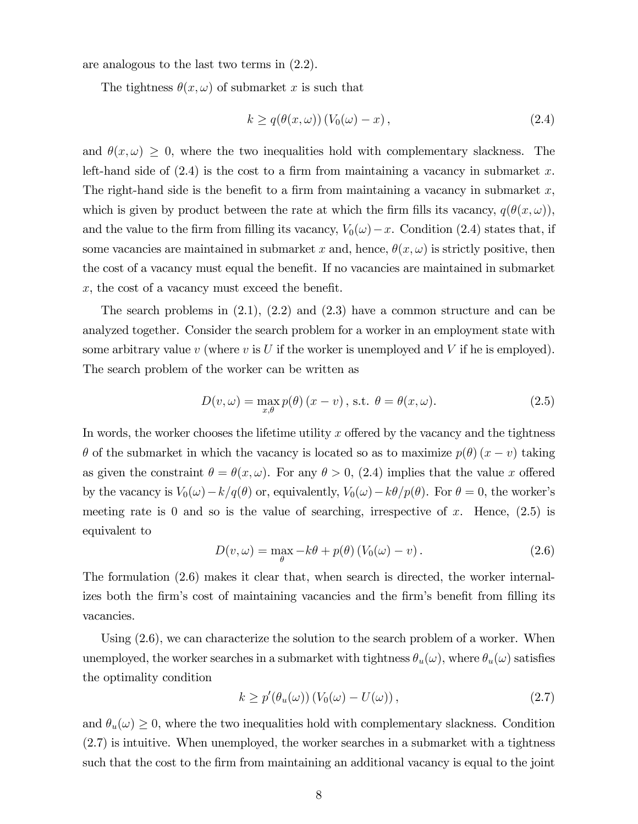are analogous to the last two terms in (2.2).

The tightness  $\theta(x, \omega)$  of submarket x is such that

$$
k \ge q(\theta(x,\omega)) (V_0(\omega) - x), \qquad (2.4)
$$

and  $\theta(x, \omega) \geq 0$ , where the two inequalities hold with complementary slackness. The left-hand side of  $(2.4)$  is the cost to a firm from maintaining a vacancy in submarket x. The right-hand side is the benefit to a firm from maintaining a vacancy in submarket  $x$ , which is given by product between the rate at which the firm fills its vacancy,  $q(\theta(x, \omega))$ , and the value to the firm from filling its vacancy,  $V_0(\omega)-x$ . Condition (2.4) states that, if some vacancies are maintained in submarket x and, hence,  $\theta(x, \omega)$  is strictly positive, then the cost of a vacancy must equal the benefit. If no vacancies are maintained in submarket  $x$ , the cost of a vacancy must exceed the benefit.

The search problems in  $(2.1)$ ,  $(2.2)$  and  $(2.3)$  have a common structure and can be analyzed together. Consider the search problem for a worker in an employment state with some arbitrary value v (where v is U if the worker is unemployed and V if he is employed). The search problem of the worker can be written as

$$
D(v,\omega) = \max_{x,\theta} p(\theta) (x - v), \text{ s.t. } \theta = \theta(x,\omega). \tag{2.5}
$$

In words, the worker chooses the lifetime utility x offered by the vacancy and the tightness  $\theta$  of the submarket in which the vacancy is located so as to maximize  $p(\theta)(x - v)$  taking as given the constraint  $\theta = \theta(x, \omega)$ . For any  $\theta > 0$ , (2.4) implies that the value x offered by the vacancy is  $V_0(\omega)-k/q(\theta)$  or, equivalently,  $V_0(\omega)-k\theta/p(\theta)$ . For  $\theta = 0$ , the worker's meeting rate is 0 and so is the value of searching, irrespective of x. Hence,  $(2.5)$  is equivalent to

$$
D(v,\omega) = \max_{\theta} -k\theta + p(\theta) (V_0(\omega) - v).
$$
 (2.6)

The formulation (2.6) makes it clear that, when search is directed, the worker internalizes both the firm's cost of maintaining vacancies and the firm's benefit from filling its vacancies.

Using  $(2.6)$ , we can characterize the solution to the search problem of a worker. When unemployed, the worker searches in a submarket with tightness  $\theta_u(\omega)$ , where  $\theta_u(\omega)$  satisfies the optimality condition

$$
k \ge p'(\theta_u(\omega)) (V_0(\omega) - U(\omega)), \qquad (2.7)
$$

and  $\theta_u(\omega) \geq 0$ , where the two inequalities hold with complementary slackness. Condition (2.7) is intuitive. When unemployed, the worker searches in a submarket with a tightness such that the cost to the Örm from maintaining an additional vacancy is equal to the joint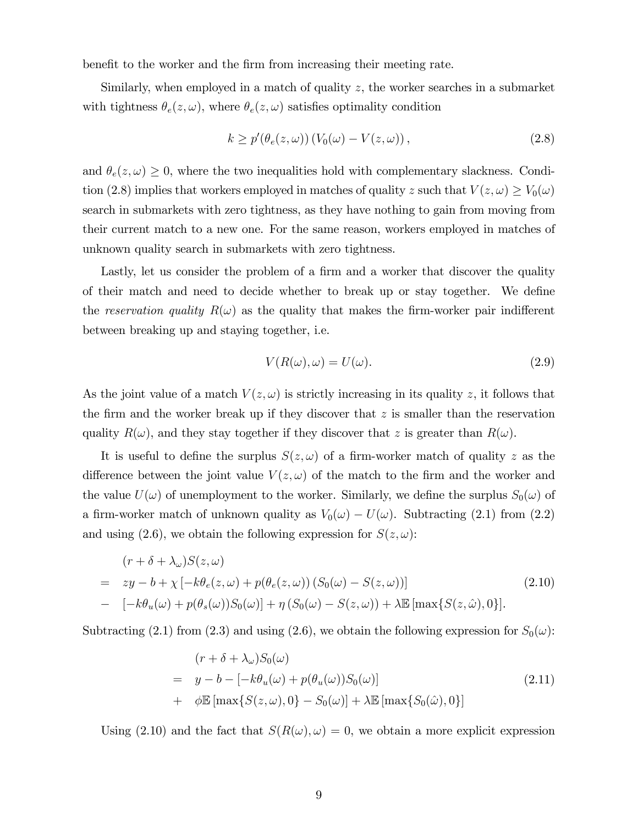benefit to the worker and the firm from increasing their meeting rate.

Similarly, when employed in a match of quality z, the worker searches in a submarket with tightness  $\theta_e(z,\omega)$ , where  $\theta_e(z,\omega)$  satisfies optimality condition

$$
k \ge p'(\theta_e(z,\omega))\left(V_0(\omega) - V(z,\omega)\right),\tag{2.8}
$$

and  $\theta_e(z,\omega) \geq 0$ , where the two inequalities hold with complementary slackness. Condition (2.8) implies that workers employed in matches of quality z such that  $V(z, \omega) \ge V_0(\omega)$ search in submarkets with zero tightness, as they have nothing to gain from moving from their current match to a new one. For the same reason, workers employed in matches of unknown quality search in submarkets with zero tightness.

Lastly, let us consider the problem of a firm and a worker that discover the quality of their match and need to decide whether to break up or stay together. We define the reservation quality  $R(\omega)$  as the quality that makes the firm-worker pair indifferent between breaking up and staying together, i.e.

$$
V(R(\omega), \omega) = U(\omega). \tag{2.9}
$$

As the joint value of a match  $V(z, \omega)$  is strictly increasing in its quality z, it follows that the firm and the worker break up if they discover that  $z$  is smaller than the reservation quality  $R(\omega)$ , and they stay together if they discover that z is greater than  $R(\omega)$ .

It is useful to define the surplus  $S(z, \omega)$  of a firm-worker match of quality z as the difference between the joint value  $V(z, \omega)$  of the match to the firm and the worker and the value  $U(\omega)$  of unemployment to the worker. Similarly, we define the surplus  $S_0(\omega)$  of a firm-worker match of unknown quality as  $V_0(\omega) - U(\omega)$ . Subtracting (2.1) from (2.2) and using (2.6), we obtain the following expression for  $S(z, \omega)$ :

$$
(r + \delta + \lambda_{\omega})S(z, \omega)
$$
  
=  $zy - b + \chi [-k\theta_e(z, \omega) + p(\theta_e(z, \omega)) (S_0(\omega) - S(z, \omega))]$   
-  $[-k\theta_u(\omega) + p(\theta_s(\omega))S_0(\omega)] + \eta (S_0(\omega) - S(z, \omega)) + \lambda \mathbb{E} [\max\{S(z, \hat{\omega}), 0\}].$  (2.10)

Subtracting (2.1) from (2.3) and using (2.6), we obtain the following expression for  $S_0(\omega)$ :

$$
(r + \delta + \lambda_{\omega})S_0(\omega)
$$
  
=  $y - b - [-k\theta_u(\omega) + p(\theta_u(\omega))S_0(\omega)]$   
+  $\phi \mathbb{E} [\max\{S(z, \omega), 0\} - S_0(\omega)] + \lambda \mathbb{E} [\max\{S_0(\hat{\omega}), 0\}]$  (2.11)

Using (2.10) and the fact that  $S(R(\omega), \omega) = 0$ , we obtain a more explicit expression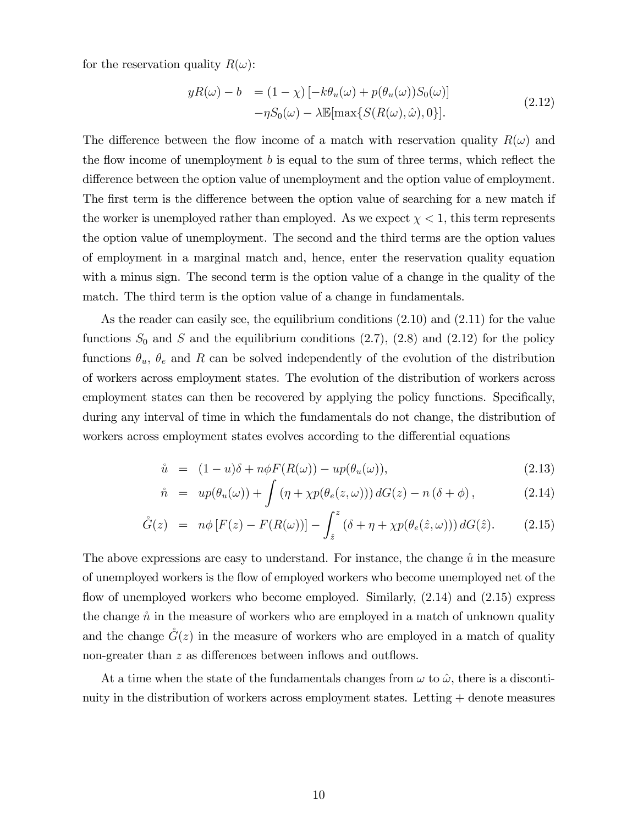for the reservation quality  $R(\omega)$ :

$$
yR(\omega) - b = (1 - \chi) \left[ -k\theta_u(\omega) + p(\theta_u(\omega))S_0(\omega) \right]
$$

$$
-\eta S_0(\omega) - \lambda \mathbb{E}[\max\{S(R(\omega), \hat{\omega}), 0\}].
$$
(2.12)

The difference between the flow income of a match with reservation quality  $R(\omega)$  and the flow income of unemployment  $b$  is equal to the sum of three terms, which reflect the difference between the option value of unemployment and the option value of employment. The first term is the difference between the option value of searching for a new match if the worker is unemployed rather than employed. As we expect  $\chi < 1$ , this term represents the option value of unemployment. The second and the third terms are the option values of employment in a marginal match and, hence, enter the reservation quality equation with a minus sign. The second term is the option value of a change in the quality of the match. The third term is the option value of a change in fundamentals.

As the reader can easily see, the equilibrium conditions (2.10) and (2.11) for the value functions  $S_0$  and S and the equilibrium conditions  $(2.7)$ ,  $(2.8)$  and  $(2.12)$  for the policy functions  $\theta_u$ ,  $\theta_e$  and R can be solved independently of the evolution of the distribution of workers across employment states. The evolution of the distribution of workers across employment states can then be recovered by applying the policy functions. Specifically, during any interval of time in which the fundamentals do not change, the distribution of workers across employment states evolves according to the differential equations

$$
\hat{u} = (1 - u)\delta + n\phi F(R(\omega)) - up(\theta_u(\omega)), \qquad (2.13)
$$

$$
\mathring{n} = up(\theta_u(\omega)) + \int (\eta + \chi p(\theta_e(z, \omega))) dG(z) - n(\delta + \phi), \qquad (2.14)
$$

$$
\mathring{G}(z) = n\phi \left[ F(z) - F(R(\omega)) \right] - \int_{\hat{z}}^{z} \left( \delta + \eta + \chi p(\theta_e(\hat{z}, \omega)) \right) dG(\hat{z}). \tag{2.15}
$$

The above expressions are easy to understand. For instance, the change  $\hat{u}$  in the measure of unemployed workers is the áow of employed workers who become unemployed net of the flow of unemployed workers who become employed. Similarly,  $(2.14)$  and  $(2.15)$  express the change  $\hat{n}$  in the measure of workers who are employed in a match of unknown quality and the change  $\mathring{G}(z)$  in the measure of workers who are employed in a match of quality non-greater than  $z$  as differences between inflows and outflows.

At a time when the state of the fundamentals changes from  $\omega$  to  $\hat{\omega}$ , there is a discontinuity in the distribution of workers across employment states. Letting + denote measures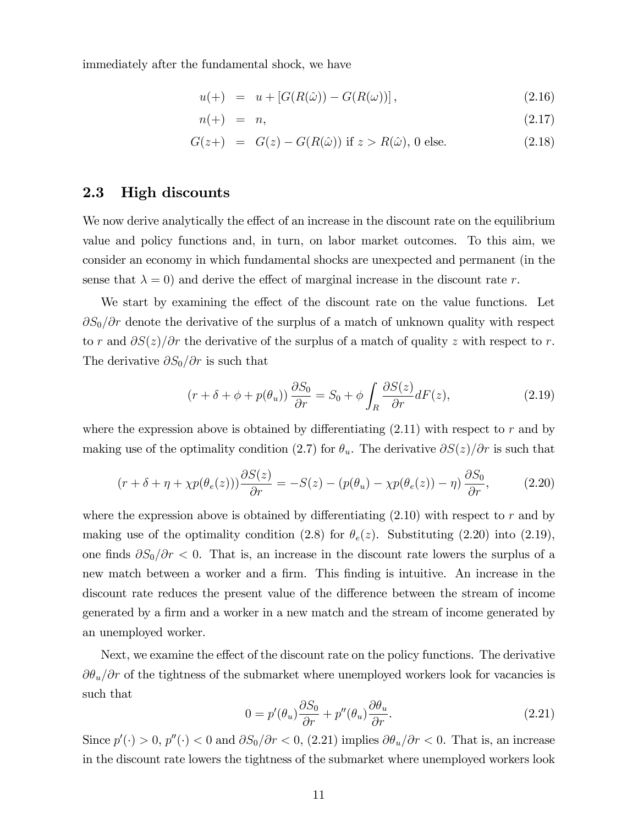immediately after the fundamental shock, we have

$$
u(+) = u + [G(R(\hat{\omega})) - G(R(\omega))], \qquad (2.16)
$$

$$
n(+) = n, \tag{2.17}
$$

$$
G(z+) = G(z) - G(R(\hat{\omega}))
$$
 if  $z > R(\hat{\omega}), 0$  else. (2.18)

#### 2.3 High discounts

We now derive analytically the effect of an increase in the discount rate on the equilibrium value and policy functions and, in turn, on labor market outcomes. To this aim, we consider an economy in which fundamental shocks are unexpected and permanent (in the sense that  $\lambda = 0$ ) and derive the effect of marginal increase in the discount rate r.

We start by examining the effect of the discount rate on the value functions. Let  $\partial S_0/\partial r$  denote the derivative of the surplus of a match of unknown quality with respect to r and  $\partial S(z)/\partial r$  the derivative of the surplus of a match of quality z with respect to r. The derivative  $\partial S_0/\partial r$  is such that

$$
(r + \delta + \phi + p(\theta_u)) \frac{\partial S_0}{\partial r} = S_0 + \phi \int_R \frac{\partial S(z)}{\partial r} dF(z), \qquad (2.19)
$$

where the expression above is obtained by differentiating  $(2.11)$  with respect to r and by making use of the optimality condition (2.7) for  $\theta_u$ . The derivative  $\partial S(z)/\partial r$  is such that

$$
(r + \delta + \eta + \chi p(\theta_e(z))) \frac{\partial S(z)}{\partial r} = -S(z) - (p(\theta_u) - \chi p(\theta_e(z)) - \eta) \frac{\partial S_0}{\partial r}, \tag{2.20}
$$

where the expression above is obtained by differentiating  $(2.10)$  with respect to r and by making use of the optimality condition (2.8) for  $\theta_e(z)$ . Substituting (2.20) into (2.19), one finds  $\partial S_0/\partial r < 0$ . That is, an increase in the discount rate lowers the surplus of a new match between a worker and a firm. This finding is intuitive. An increase in the discount rate reduces the present value of the difference between the stream of income generated by a firm and a worker in a new match and the stream of income generated by an unemployed worker.

Next, we examine the effect of the discount rate on the policy functions. The derivative  $\partial \theta_u/\partial r$  of the tightness of the submarket where unemployed workers look for vacancies is such that

$$
0 = p'(\theta_u) \frac{\partial S_0}{\partial r} + p''(\theta_u) \frac{\partial \theta_u}{\partial r}.
$$
\n(2.21)

Since  $p'(\cdot) > 0$ ,  $p''(\cdot) < 0$  and  $\partial S_0/\partial r < 0$ , (2.21) implies  $\partial \theta_u/\partial r < 0$ . That is, an increase in the discount rate lowers the tightness of the submarket where unemployed workers look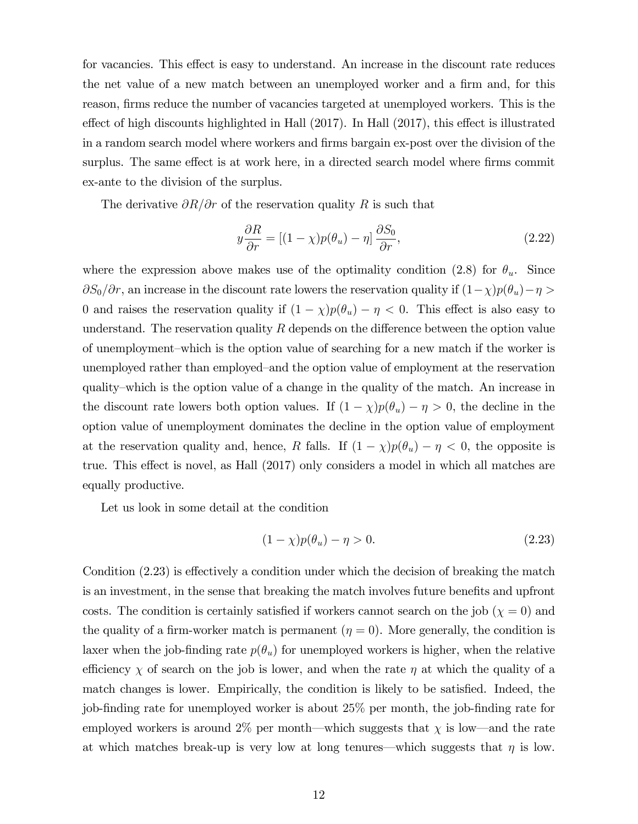for vacancies. This effect is easy to understand. An increase in the discount rate reduces the net value of a new match between an unemployed worker and a firm and, for this reason, firms reduce the number of vacancies targeted at unemployed workers. This is the effect of high discounts highlighted in Hall  $(2017)$ . In Hall  $(2017)$ , this effect is illustrated in a random search model where workers and firms bargain ex-post over the division of the surplus. The same effect is at work here, in a directed search model where firms commit ex-ante to the division of the surplus.

The derivative  $\partial R/\partial r$  of the reservation quality R is such that

$$
y\frac{\partial R}{\partial r} = \left[ (1 - \chi)p(\theta_u) - \eta \right] \frac{\partial S_0}{\partial r},\tag{2.22}
$$

where the expression above makes use of the optimality condition (2.8) for  $\theta_u$ . Since  $\partial S_0/\partial r$ , an increase in the discount rate lowers the reservation quality if  $(1-\chi)p(\theta_u) - \eta >$ 0 and raises the reservation quality if  $(1 - \chi)p(\theta_u) - \eta < 0$ . This effect is also easy to understand. The reservation quality  $R$  depends on the difference between the option value of unemployment–which is the option value of searching for a new match if the worker is unemployed rather than employed–and the option value of employment at the reservation quality–which is the option value of a change in the quality of the match. An increase in the discount rate lowers both option values. If  $(1 - \chi)p(\theta_u) - \eta > 0$ , the decline in the option value of unemployment dominates the decline in the option value of employment at the reservation quality and, hence, R falls. If  $(1 - \chi)p(\theta_u) - \eta < 0$ , the opposite is true. This effect is novel, as Hall (2017) only considers a model in which all matches are equally productive.

Let us look in some detail at the condition

$$
(1 - \chi)p(\theta_u) - \eta > 0. \tag{2.23}
$$

Condition  $(2.23)$  is effectively a condition under which the decision of breaking the match is an investment, in the sense that breaking the match involves future benefits and upfront costs. The condition is certainly satisfied if workers cannot search on the job  $(\chi = 0)$  and the quality of a firm-worker match is permanent ( $\eta = 0$ ). More generally, the condition is laxer when the job-finding rate  $p(\theta_u)$  for unemployed workers is higher, when the relative efficiency  $\chi$  of search on the job is lower, and when the rate  $\eta$  at which the quality of a match changes is lower. Empirically, the condition is likely to be satisfied. Indeed, the job-finding rate for unemployed worker is about 25% per month, the job-finding rate for employed workers is around 2% per month—which suggests that  $\chi$  is low—and the rate at which matches break-up is very low at long tenures—which suggests that  $\eta$  is low.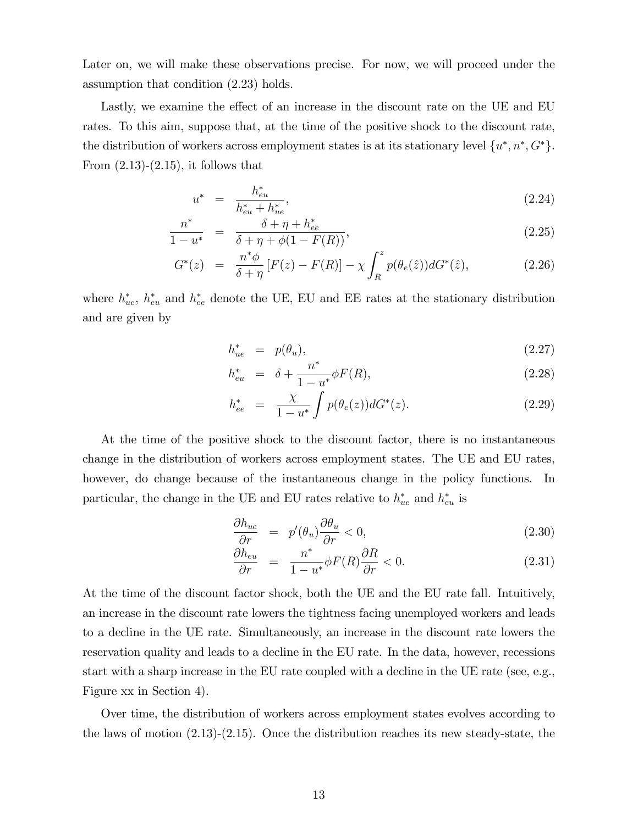Later on, we will make these observations precise. For now, we will proceed under the assumption that condition (2.23) holds.

Lastly, we examine the effect of an increase in the discount rate on the UE and EU rates. To this aim, suppose that, at the time of the positive shock to the discount rate, the distribution of workers across employment states is at its stationary level  $\{u^*, n^*, G^*\}$ . From  $(2.13)-(2.15)$ , it follows that

$$
u^* = \frac{h_{eu}^*}{h_{eu}^* + h_{ue}^*},\tag{2.24}
$$

$$
\frac{n^*}{1-u^*} = \frac{\delta + \eta + h_{ee}^*}{\delta + \eta + \phi(1 - F(R))},
$$
\n(2.25)

$$
G^*(z) = \frac{n^*\phi}{\delta + \eta} [F(z) - F(R)] - \chi \int_R^z p(\theta_e(\hat{z})) dG^*(\hat{z}), \qquad (2.26)
$$

where  $h_{ue}^*$ ,  $h_{eu}^*$  and  $h_{ee}^*$  denote the UE, EU and EE rates at the stationary distribution and are given by

$$
h_{ue}^* = p(\theta_u), \tag{2.27}
$$

$$
h_{eu}^* = \delta + \frac{n^*}{1 - u^*} \phi F(R), \qquad (2.28)
$$

$$
h_{ee}^* = \frac{\chi}{1 - u^*} \int p(\theta_e(z)) dG^*(z).
$$
 (2.29)

At the time of the positive shock to the discount factor, there is no instantaneous change in the distribution of workers across employment states. The UE and EU rates, however, do change because of the instantaneous change in the policy functions. In particular, the change in the UE and EU rates relative to  $h_{ue}^*$  and  $h_{eu}^*$  is

$$
\frac{\partial h_{ue}}{\partial r} = p'(\theta_u) \frac{\partial \theta_u}{\partial r} < 0,\tag{2.30}
$$

$$
\frac{\partial h_{eu}}{\partial r} = \frac{n^*}{1 - u^*} \phi F(R) \frac{\partial R}{\partial r} < 0. \tag{2.31}
$$

At the time of the discount factor shock, both the UE and the EU rate fall. Intuitively, an increase in the discount rate lowers the tightness facing unemployed workers and leads to a decline in the UE rate. Simultaneously, an increase in the discount rate lowers the reservation quality and leads to a decline in the EU rate. In the data, however, recessions start with a sharp increase in the EU rate coupled with a decline in the UE rate (see, e.g., Figure xx in Section 4).

Over time, the distribution of workers across employment states evolves according to the laws of motion (2.13)-(2.15). Once the distribution reaches its new steady-state, the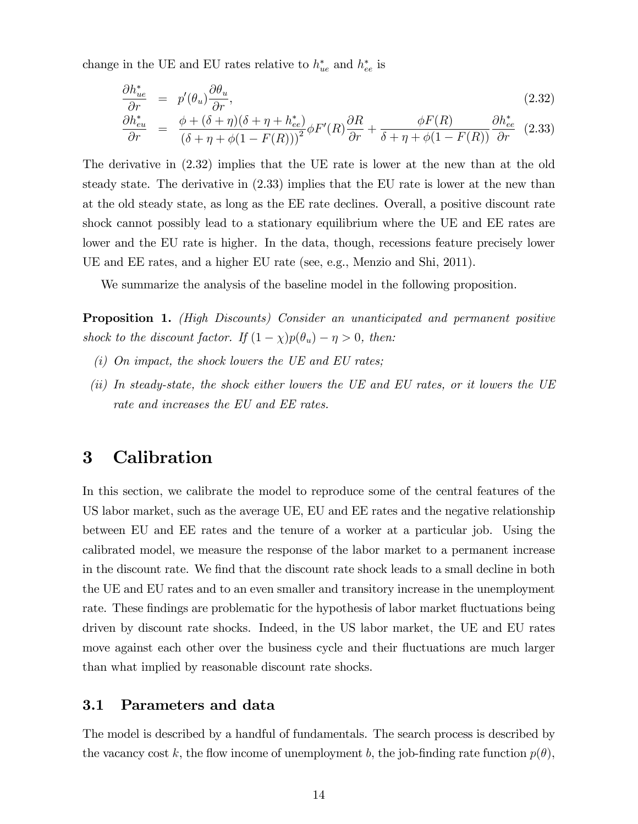change in the UE and EU rates relative to  $h_{ue}^*$  and  $h_{ee}^*$  is

$$
\frac{\partial h_{ue}^*}{\partial r} = p'(\theta_u) \frac{\partial \theta_u}{\partial r},\tag{2.32}
$$

$$
\frac{\partial h_{eu}^*}{\partial r} = \frac{\phi + (\delta + \eta)(\delta + \eta + h_{ee}^*)}{(\delta + \eta + \phi(1 - F(R)))^2} \phi F'(R) \frac{\partial R}{\partial r} + \frac{\phi F(R)}{\delta + \eta + \phi(1 - F(R))} \frac{\partial h_{ee}^*}{\partial r} (2.33)
$$

The derivative in (2.32) implies that the UE rate is lower at the new than at the old steady state. The derivative in (2.33) implies that the EU rate is lower at the new than at the old steady state, as long as the EE rate declines. Overall, a positive discount rate shock cannot possibly lead to a stationary equilibrium where the UE and EE rates are lower and the EU rate is higher. In the data, though, recessions feature precisely lower UE and EE rates, and a higher EU rate (see, e.g., Menzio and Shi, 2011).

We summarize the analysis of the baseline model in the following proposition.

**Proposition 1.** (High Discounts) Consider an unanticipated and permanent positive shock to the discount factor. If  $(1 - \chi)p(\theta_u) - \eta > 0$ , then:

- $(i)$  On impact, the shock lowers the UE and EU rates;
- (ii) In steady-state, the shock either lowers the UE and EU rates, or it lowers the UE rate and increases the EU and EE rates.

## 3 Calibration

In this section, we calibrate the model to reproduce some of the central features of the US labor market, such as the average UE, EU and EE rates and the negative relationship between EU and EE rates and the tenure of a worker at a particular job. Using the calibrated model, we measure the response of the labor market to a permanent increase in the discount rate. We find that the discount rate shock leads to a small decline in both the UE and EU rates and to an even smaller and transitory increase in the unemployment rate. These findings are problematic for the hypothesis of labor market fluctuations being driven by discount rate shocks. Indeed, in the US labor market, the UE and EU rates move against each other over the business cycle and their fluctuations are much larger than what implied by reasonable discount rate shocks.

#### 3.1 Parameters and data

The model is described by a handful of fundamentals. The search process is described by the vacancy cost k, the flow income of unemployment b, the job-finding rate function  $p(\theta)$ ,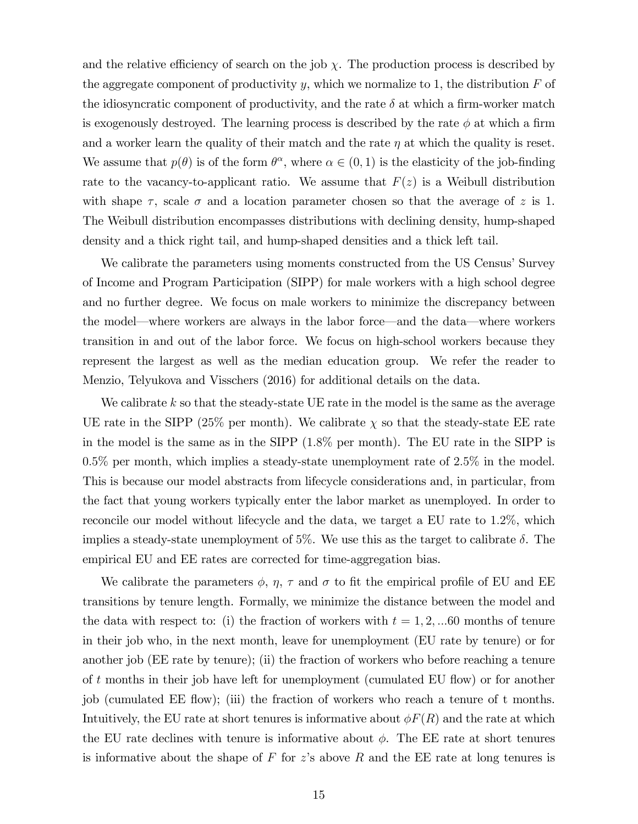and the relative efficiency of search on the job  $\chi$ . The production process is described by the aggregate component of productivity y, which we normalize to 1, the distribution  $F$  of the idiosyncratic component of productivity, and the rate  $\delta$  at which a firm-worker match is exogenously destroyed. The learning process is described by the rate  $\phi$  at which a firm and a worker learn the quality of their match and the rate  $\eta$  at which the quality is reset. We assume that  $p(\theta)$  is of the form  $\theta^{\alpha}$ , where  $\alpha \in (0,1)$  is the elasticity of the job-finding rate to the vacancy-to-applicant ratio. We assume that  $F(z)$  is a Weibull distribution with shape  $\tau$ , scale  $\sigma$  and a location parameter chosen so that the average of z is 1. The Weibull distribution encompasses distributions with declining density, hump-shaped density and a thick right tail, and hump-shaped densities and a thick left tail.

We calibrate the parameters using moments constructed from the US Census' Survey of Income and Program Participation (SIPP) for male workers with a high school degree and no further degree. We focus on male workers to minimize the discrepancy between the model—where workers are always in the labor force—and the data—where workers transition in and out of the labor force. We focus on high-school workers because they represent the largest as well as the median education group. We refer the reader to Menzio, Telyukova and Visschers (2016) for additional details on the data.

We calibrate  $k$  so that the steady-state UE rate in the model is the same as the average UE rate in the SIPP (25% per month). We calibrate  $\chi$  so that the steady-state EE rate in the model is the same as in the SIPP (1:8% per month). The EU rate in the SIPP is 0:5% per month, which implies a steady-state unemployment rate of 2:5% in the model. This is because our model abstracts from lifecycle considerations and, in particular, from the fact that young workers typically enter the labor market as unemployed. In order to reconcile our model without lifecycle and the data, we target a EU rate to 1.2%, which implies a steady-state unemployment of 5%. We use this as the target to calibrate  $\delta$ . The empirical EU and EE rates are corrected for time-aggregation bias.

We calibrate the parameters  $\phi$ ,  $\eta$ ,  $\tau$  and  $\sigma$  to fit the empirical profile of EU and EE transitions by tenure length. Formally, we minimize the distance between the model and the data with respect to: (i) the fraction of workers with  $t = 1, 2, \dots 60$  months of tenure in their job who, in the next month, leave for unemployment (EU rate by tenure) or for another job (EE rate by tenure); (ii) the fraction of workers who before reaching a tenure of  $t$  months in their job have left for unemployment (cumulated EU flow) or for another job (cumulated EE áow); (iii) the fraction of workers who reach a tenure of t months. Intuitively, the EU rate at short tenures is informative about  $\phi F(R)$  and the rate at which the EU rate declines with tenure is informative about  $\phi$ . The EE rate at short tenures is informative about the shape of F for z's above R and the EE rate at long tenures is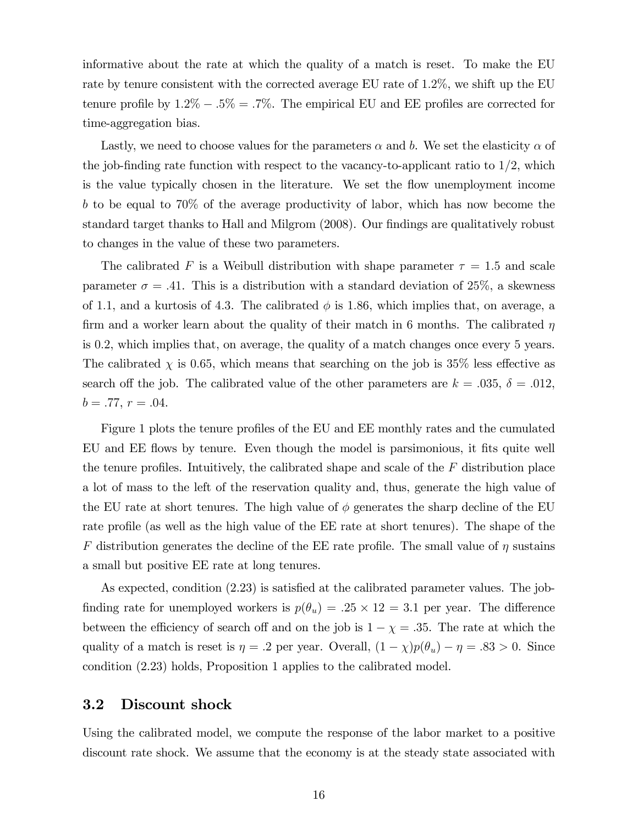informative about the rate at which the quality of a match is reset. To make the EU rate by tenure consistent with the corrected average EU rate of 1:2%, we shift up the EU tenure profile by  $1.2\% - .5\% = .7\%$ . The empirical EU and EE profiles are corrected for time-aggregation bias.

Lastly, we need to choose values for the parameters  $\alpha$  and b. We set the elasticity  $\alpha$  of the job-finding rate function with respect to the vacancy-to-applicant ratio to  $1/2$ , which is the value typically chosen in the literature. We set the flow unemployment income b to be equal to 70% of the average productivity of labor, which has now become the standard target thanks to Hall and Milgrom (2008). Our findings are qualitatively robust to changes in the value of these two parameters.

The calibrated F is a Weibull distribution with shape parameter  $\tau = 1.5$  and scale parameter  $\sigma = .41$ . This is a distribution with a standard deviation of 25%, a skewness of 1.1, and a kurtosis of 4.3. The calibrated  $\phi$  is 1.86, which implies that, on average, a firm and a worker learn about the quality of their match in 6 months. The calibrated  $\eta$ is 0:2, which implies that, on average, the quality of a match changes once every 5 years. The calibrated  $\chi$  is 0.65, which means that searching on the job is 35% less effective as search off the job. The calibrated value of the other parameters are  $k = .035, \delta = .012,$  $b = .77, r = .04.$ 

Figure 1 plots the tenure profiles of the EU and EE monthly rates and the cumulated EU and EE flows by tenure. Even though the model is parsimonious, it fits quite well the tenure profiles. Intuitively, the calibrated shape and scale of the  $F$  distribution place a lot of mass to the left of the reservation quality and, thus, generate the high value of the EU rate at short tenures. The high value of  $\phi$  generates the sharp decline of the EU rate profile (as well as the high value of the EE rate at short tenures). The shape of the F distribution generates the decline of the EE rate profile. The small value of  $\eta$  sustains a small but positive EE rate at long tenures.

As expected, condition  $(2.23)$  is satisfied at the calibrated parameter values. The jobfinding rate for unemployed workers is  $p(\theta_u) = .25 \times 12 = 3.1$  per year. The difference between the efficiency of search off and on the job is  $1 - \chi = .35$ . The rate at which the quality of a match is reset is  $\eta = .2$  per year. Overall,  $(1 - \chi)p(\theta_u) - \eta = .83 > 0$ . Since condition (2.23) holds, Proposition 1 applies to the calibrated model.

#### 3.2 Discount shock

Using the calibrated model, we compute the response of the labor market to a positive discount rate shock. We assume that the economy is at the steady state associated with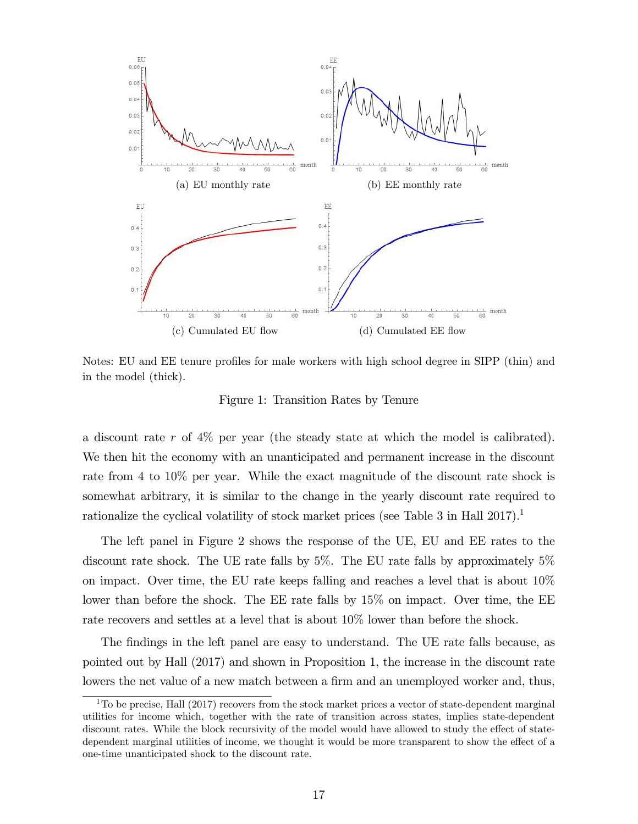

Notes: EU and EE tenure profiles for male workers with high school degree in SIPP (thin) and in the model (thick).

Figure 1: Transition Rates by Tenure

a discount rate r of  $4\%$  per year (the steady state at which the model is calibrated). We then hit the economy with an unanticipated and permanent increase in the discount rate from 4 to 10% per year. While the exact magnitude of the discount rate shock is somewhat arbitrary, it is similar to the change in the yearly discount rate required to rationalize the cyclical volatility of stock market prices (see Table 3 in Hall  $2017$ ).<sup>1</sup>

The left panel in Figure 2 shows the response of the UE, EU and EE rates to the discount rate shock. The UE rate falls by 5%. The EU rate falls by approximately 5% on impact. Over time, the EU rate keeps falling and reaches a level that is about 10% lower than before the shock. The EE rate falls by  $15\%$  on impact. Over time, the EE rate recovers and settles at a level that is about 10% lower than before the shock.

The findings in the left panel are easy to understand. The UE rate falls because, as pointed out by Hall (2017) and shown in Proposition 1, the increase in the discount rate lowers the net value of a new match between a firm and an unemployed worker and, thus,

 $1$ To be precise, Hall (2017) recovers from the stock market prices a vector of state-dependent marginal utilities for income which, together with the rate of transition across states, implies state-dependent discount rates. While the block recursivity of the model would have allowed to study the effect of statedependent marginal utilities of income, we thought it would be more transparent to show the effect of a one-time unanticipated shock to the discount rate.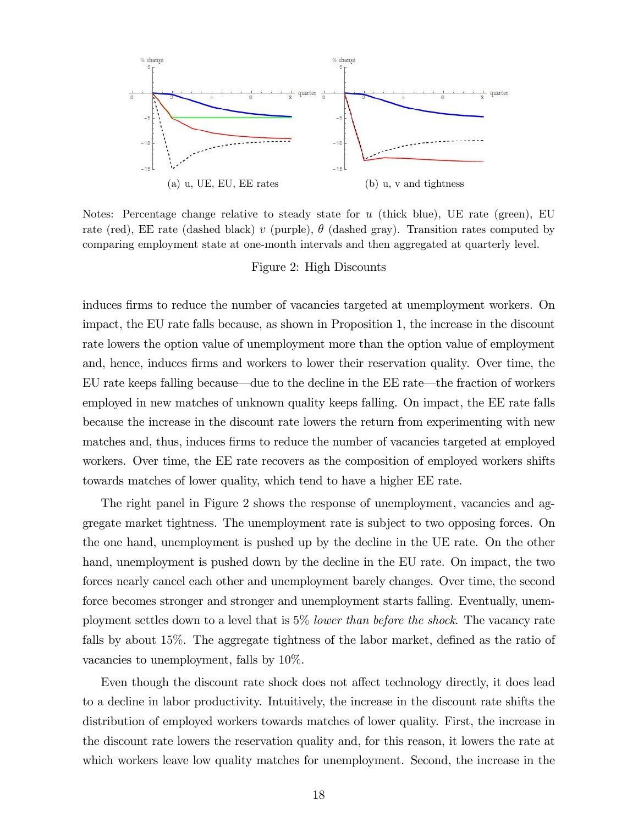

Notes: Percentage change relative to steady state for  $u$  (thick blue), UE rate (green), EU rate (red), EE rate (dashed black) v (purple),  $\theta$  (dashed gray). Transition rates computed by comparing employment state at one-month intervals and then aggregated at quarterly level.

Figure 2: High Discounts

induces firms to reduce the number of vacancies targeted at unemployment workers. On impact, the EU rate falls because, as shown in Proposition 1, the increase in the discount rate lowers the option value of unemployment more than the option value of employment and, hence, induces firms and workers to lower their reservation quality. Over time, the EU rate keeps falling because—due to the decline in the EE rate—the fraction of workers employed in new matches of unknown quality keeps falling. On impact, the EE rate falls because the increase in the discount rate lowers the return from experimenting with new matches and, thus, induces firms to reduce the number of vacancies targeted at employed workers. Over time, the EE rate recovers as the composition of employed workers shifts towards matches of lower quality, which tend to have a higher EE rate.

The right panel in Figure 2 shows the response of unemployment, vacancies and aggregate market tightness. The unemployment rate is subject to two opposing forces. On the one hand, unemployment is pushed up by the decline in the UE rate. On the other hand, unemployment is pushed down by the decline in the EU rate. On impact, the two forces nearly cancel each other and unemployment barely changes. Over time, the second force becomes stronger and stronger and unemployment starts falling. Eventually, unemployment settles down to a level that is 5% lower than before the shock. The vacancy rate falls by about  $15\%$ . The aggregate tightness of the labor market, defined as the ratio of vacancies to unemployment, falls by 10%.

Even though the discount rate shock does not affect technology directly, it does lead to a decline in labor productivity. Intuitively, the increase in the discount rate shifts the distribution of employed workers towards matches of lower quality. First, the increase in the discount rate lowers the reservation quality and, for this reason, it lowers the rate at which workers leave low quality matches for unemployment. Second, the increase in the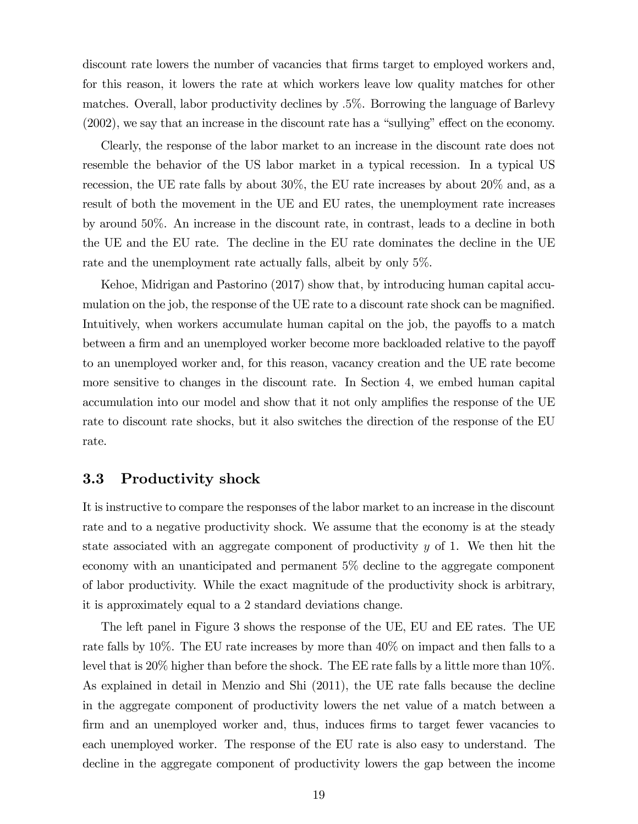discount rate lowers the number of vacancies that firms target to employed workers and, for this reason, it lowers the rate at which workers leave low quality matches for other matches. Overall, labor productivity declines by :5%. Borrowing the language of Barlevy  $(2002)$ , we say that an increase in the discount rate has a "sullying" effect on the economy.

Clearly, the response of the labor market to an increase in the discount rate does not resemble the behavior of the US labor market in a typical recession. In a typical US recession, the UE rate falls by about 30%, the EU rate increases by about 20% and, as a result of both the movement in the UE and EU rates, the unemployment rate increases by around 50%. An increase in the discount rate, in contrast, leads to a decline in both the UE and the EU rate. The decline in the EU rate dominates the decline in the UE rate and the unemployment rate actually falls, albeit by only 5%.

Kehoe, Midrigan and Pastorino (2017) show that, by introducing human capital accumulation on the job, the response of the UE rate to a discount rate shock can be magnified. Intuitively, when workers accumulate human capital on the job, the payoffs to a match between a firm and an unemployed worker become more backloaded relative to the payoff to an unemployed worker and, for this reason, vacancy creation and the UE rate become more sensitive to changes in the discount rate. In Section 4, we embed human capital accumulation into our model and show that it not only amplifies the response of the UE rate to discount rate shocks, but it also switches the direction of the response of the EU rate.

#### 3.3 Productivity shock

It is instructive to compare the responses of the labor market to an increase in the discount rate and to a negative productivity shock. We assume that the economy is at the steady state associated with an aggregate component of productivity  $y$  of 1. We then hit the economy with an unanticipated and permanent 5% decline to the aggregate component of labor productivity. While the exact magnitude of the productivity shock is arbitrary, it is approximately equal to a 2 standard deviations change.

The left panel in Figure 3 shows the response of the UE, EU and EE rates. The UE rate falls by 10%. The EU rate increases by more than 40% on impact and then falls to a level that is 20% higher than before the shock. The EE rate falls by a little more than 10%. As explained in detail in Menzio and Shi (2011), the UE rate falls because the decline in the aggregate component of productivity lowers the net value of a match between a firm and an unemployed worker and, thus, induces firms to target fewer vacancies to each unemployed worker. The response of the EU rate is also easy to understand. The decline in the aggregate component of productivity lowers the gap between the income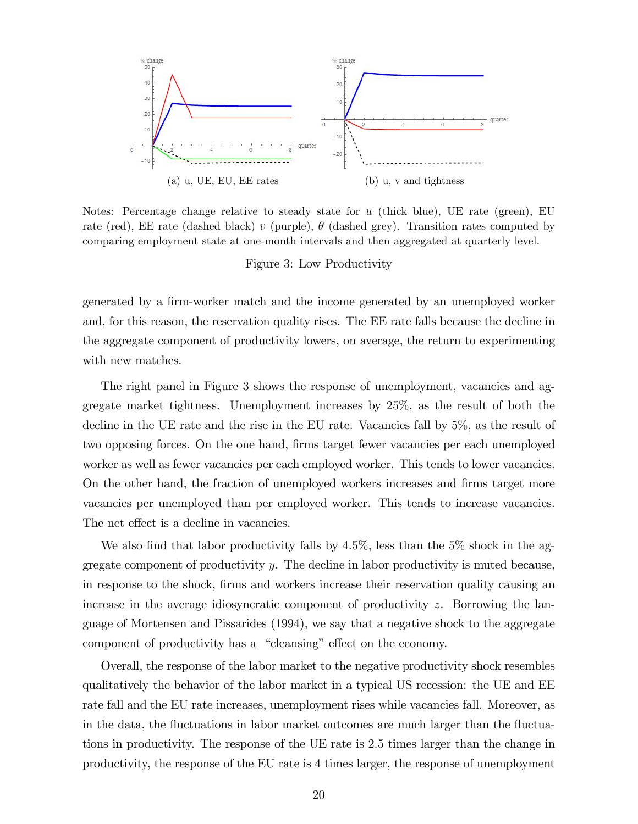

Notes: Percentage change relative to steady state for  $u$  (thick blue), UE rate (green), EU rate (red), EE rate (dashed black) v (purple),  $\theta$  (dashed grey). Transition rates computed by comparing employment state at one-month intervals and then aggregated at quarterly level.

#### Figure 3: Low Productivity

generated by a firm-worker match and the income generated by an unemployed worker and, for this reason, the reservation quality rises. The EE rate falls because the decline in the aggregate component of productivity lowers, on average, the return to experimenting with new matches.

The right panel in Figure 3 shows the response of unemployment, vacancies and aggregate market tightness. Unemployment increases by 25%, as the result of both the decline in the UE rate and the rise in the EU rate. Vacancies fall by 5%, as the result of two opposing forces. On the one hand, firms target fewer vacancies per each unemployed worker as well as fewer vacancies per each employed worker. This tends to lower vacancies. On the other hand, the fraction of unemployed workers increases and firms target more vacancies per unemployed than per employed worker. This tends to increase vacancies. The net effect is a decline in vacancies.

We also find that labor productivity falls by  $4.5\%$ , less than the  $5\%$  shock in the aggregate component of productivity  $y$ . The decline in labor productivity is muted because, in response to the shock, Örms and workers increase their reservation quality causing an increase in the average idiosyncratic component of productivity z. Borrowing the language of Mortensen and Pissarides (1994), we say that a negative shock to the aggregate component of productivity has a "cleansing" effect on the economy.

Overall, the response of the labor market to the negative productivity shock resembles qualitatively the behavior of the labor market in a typical US recession: the UE and EE rate fall and the EU rate increases, unemployment rises while vacancies fall. Moreover, as in the data, the fluctuations in labor market outcomes are much larger than the fluctuations in productivity. The response of the UE rate is 2:5 times larger than the change in productivity, the response of the EU rate is 4 times larger, the response of unemployment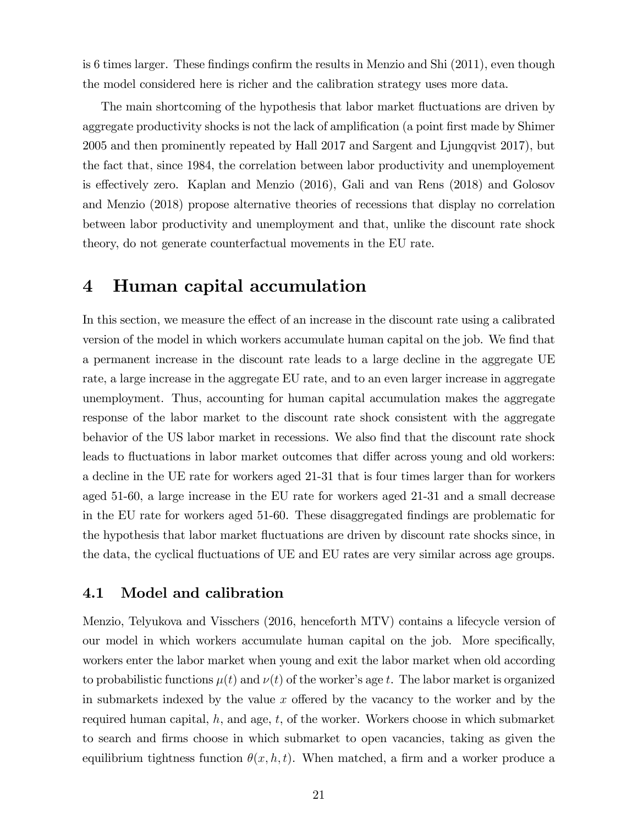is 6 times larger. These findings confirm the results in Menzio and Shi  $(2011)$ , even though the model considered here is richer and the calibration strategy uses more data.

The main shortcoming of the hypothesis that labor market fluctuations are driven by aggregate productivity shocks is not the lack of amplification (a point first made by Shimer 2005 and then prominently repeated by Hall 2017 and Sargent and Ljungqvist 2017), but the fact that, since 1984, the correlation between labor productivity and unemployement is effectively zero. Kaplan and Menzio  $(2016)$ , Gali and van Rens  $(2018)$  and Golosov and Menzio (2018) propose alternative theories of recessions that display no correlation between labor productivity and unemployment and that, unlike the discount rate shock theory, do not generate counterfactual movements in the EU rate.

## 4 Human capital accumulation

In this section, we measure the effect of an increase in the discount rate using a calibrated version of the model in which workers accumulate human capital on the job. We find that a permanent increase in the discount rate leads to a large decline in the aggregate UE rate, a large increase in the aggregate EU rate, and to an even larger increase in aggregate unemployment. Thus, accounting for human capital accumulation makes the aggregate response of the labor market to the discount rate shock consistent with the aggregate behavior of the US labor market in recessions. We also find that the discount rate shock leads to fluctuations in labor market outcomes that differ across young and old workers: a decline in the UE rate for workers aged 21-31 that is four times larger than for workers aged 51-60, a large increase in the EU rate for workers aged 21-31 and a small decrease in the EU rate for workers aged 51-60. These disaggregated Öndings are problematic for the hypothesis that labor market fluctuations are driven by discount rate shocks since, in the data, the cyclical fluctuations of UE and EU rates are very similar across age groups.

#### 4.1 Model and calibration

Menzio, Telyukova and Visschers (2016, henceforth MTV) contains a lifecycle version of our model in which workers accumulate human capital on the job. More specifically, workers enter the labor market when young and exit the labor market when old according to probabilistic functions  $\mu(t)$  and  $\nu(t)$  of the worker's age t. The labor market is organized in submarkets indexed by the value x offered by the vacancy to the worker and by the required human capital,  $h$ , and age,  $t$ , of the worker. Workers choose in which submarket to search and Örms choose in which submarket to open vacancies, taking as given the equilibrium tightness function  $\theta(x, h, t)$ . When matched, a firm and a worker produce a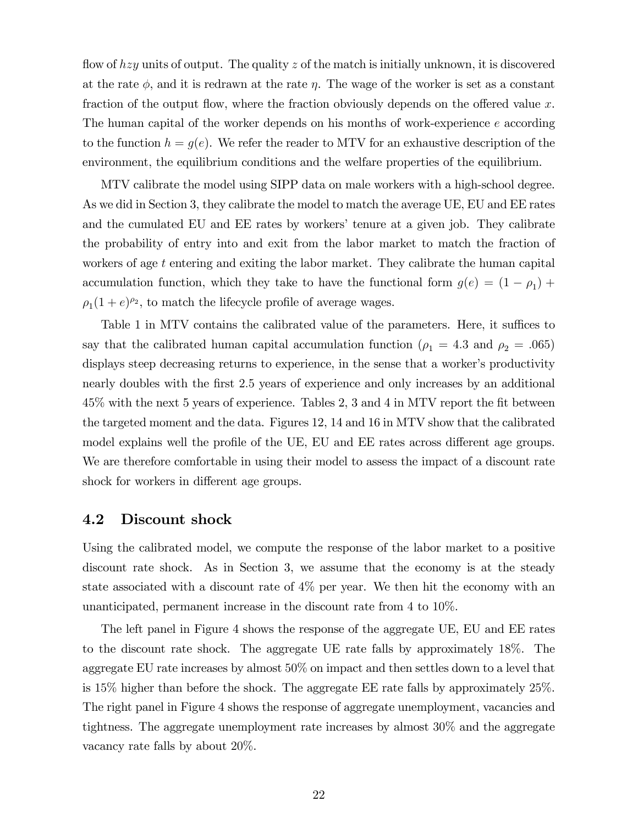flow of  $hzy$  units of output. The quality z of the match is initially unknown, it is discovered at the rate  $\phi$ , and it is redrawn at the rate  $\eta$ . The wage of the worker is set as a constant fraction of the output flow, where the fraction obviously depends on the offered value  $x$ . The human capital of the worker depends on his months of work-experience e according to the function  $h = g(e)$ . We refer the reader to MTV for an exhaustive description of the environment, the equilibrium conditions and the welfare properties of the equilibrium.

MTV calibrate the model using SIPP data on male workers with a high-school degree. As we did in Section 3, they calibrate the model to match the average UE, EU and EE rates and the cumulated EU and EE rates by workers' tenure at a given job. They calibrate the probability of entry into and exit from the labor market to match the fraction of workers of age t entering and exiting the labor market. They calibrate the human capital accumulation function, which they take to have the functional form  $g(e) = (1 - \rho_1) +$  $\rho_1(1+e)^{\rho_2}$ , to match the lifecycle profile of average wages.

Table 1 in MTV contains the calibrated value of the parameters. Here, it suffices to say that the calibrated human capital accumulation function ( $\rho_1 = 4.3$  and  $\rho_2 = .065$ ) displays steep decreasing returns to experience, in the sense that a worker's productivity nearly doubles with the first 2.5 years of experience and only increases by an additional 45% with the next 5 years of experience. Tables 2, 3 and 4 in MTV report the fit between the targeted moment and the data. Figures 12, 14 and 16 in MTV show that the calibrated model explains well the profile of the UE, EU and EE rates across different age groups. We are therefore comfortable in using their model to assess the impact of a discount rate shock for workers in different age groups.

#### 4.2 Discount shock

Using the calibrated model, we compute the response of the labor market to a positive discount rate shock. As in Section 3, we assume that the economy is at the steady state associated with a discount rate of 4% per year. We then hit the economy with an unanticipated, permanent increase in the discount rate from 4 to 10%.

The left panel in Figure 4 shows the response of the aggregate UE, EU and EE rates to the discount rate shock. The aggregate UE rate falls by approximately 18%. The aggregate EU rate increases by almost 50% on impact and then settles down to a level that is 15% higher than before the shock. The aggregate EE rate falls by approximately 25%. The right panel in Figure 4 shows the response of aggregate unemployment, vacancies and tightness. The aggregate unemployment rate increases by almost 30% and the aggregate vacancy rate falls by about 20%.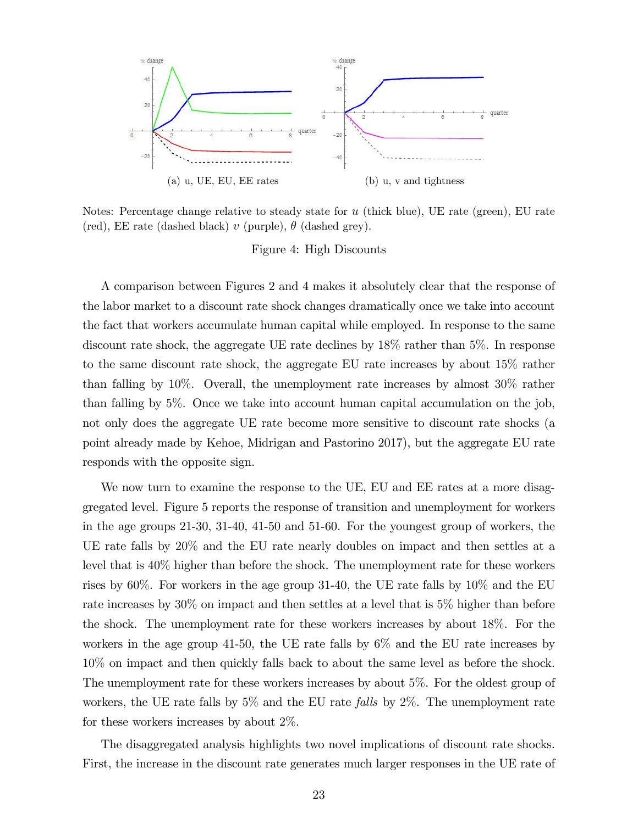

Notes: Percentage change relative to steady state for  $u$  (thick blue), UE rate (green), EU rate (red), EE rate (dashed black) v (purple),  $\theta$  (dashed grey).

Figure 4: High Discounts

A comparison between Figures 2 and 4 makes it absolutely clear that the response of the labor market to a discount rate shock changes dramatically once we take into account the fact that workers accumulate human capital while employed. In response to the same discount rate shock, the aggregate UE rate declines by 18% rather than 5%. In response to the same discount rate shock, the aggregate EU rate increases by about 15% rather than falling by 10%. Overall, the unemployment rate increases by almost 30% rather than falling by 5%. Once we take into account human capital accumulation on the job, not only does the aggregate UE rate become more sensitive to discount rate shocks (a point already made by Kehoe, Midrigan and Pastorino 2017), but the aggregate EU rate responds with the opposite sign.

We now turn to examine the response to the UE, EU and EE rates at a more disaggregated level. Figure 5 reports the response of transition and unemployment for workers in the age groups 21-30, 31-40, 41-50 and 51-60. For the youngest group of workers, the UE rate falls by 20% and the EU rate nearly doubles on impact and then settles at a level that is 40% higher than before the shock. The unemployment rate for these workers rises by 60%. For workers in the age group 31-40, the UE rate falls by 10% and the EU rate increases by 30% on impact and then settles at a level that is 5% higher than before the shock. The unemployment rate for these workers increases by about 18%. For the workers in the age group 41-50, the UE rate falls by 6% and the EU rate increases by 10% on impact and then quickly falls back to about the same level as before the shock. The unemployment rate for these workers increases by about 5%. For the oldest group of workers, the UE rate falls by  $5\%$  and the EU rate *falls* by  $2\%$ . The unemployment rate for these workers increases by about 2%.

The disaggregated analysis highlights two novel implications of discount rate shocks. First, the increase in the discount rate generates much larger responses in the UE rate of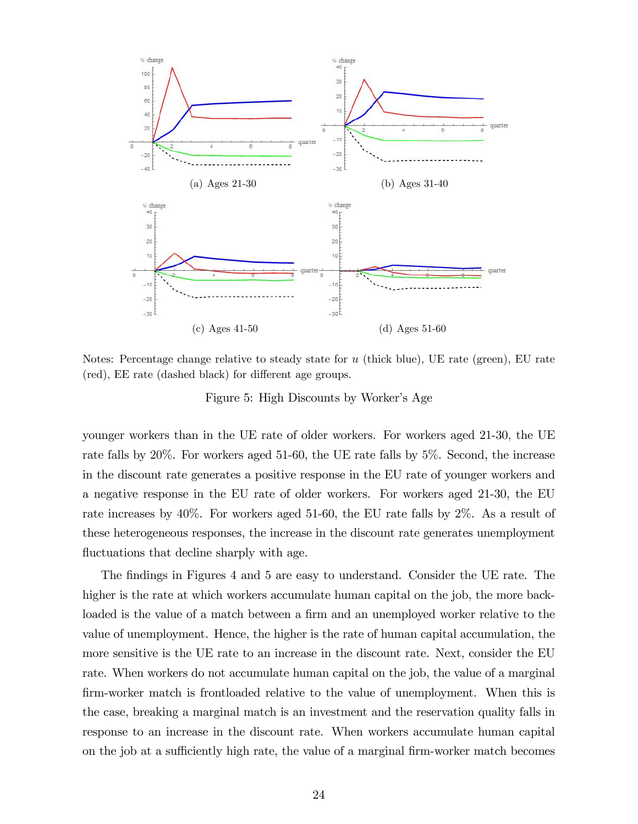

Notes: Percentage change relative to steady state for  $u$  (thick blue), UE rate (green), EU rate (red), EE rate (dashed black) for different age groups.

Figure 5: High Discounts by Worker's Age

younger workers than in the UE rate of older workers. For workers aged 21-30, the UE rate falls by 20%. For workers aged 51-60, the UE rate falls by 5%. Second, the increase in the discount rate generates a positive response in the EU rate of younger workers and a negative response in the EU rate of older workers. For workers aged 21-30, the EU rate increases by 40%. For workers aged 51-60, the EU rate falls by 2%. As a result of these heterogeneous responses, the increase in the discount rate generates unemployment fluctuations that decline sharply with age.

The findings in Figures 4 and 5 are easy to understand. Consider the UE rate. The higher is the rate at which workers accumulate human capital on the job, the more backloaded is the value of a match between a firm and an unemployed worker relative to the value of unemployment. Hence, the higher is the rate of human capital accumulation, the more sensitive is the UE rate to an increase in the discount rate. Next, consider the EU rate. When workers do not accumulate human capital on the job, the value of a marginal firm-worker match is frontloaded relative to the value of unemployment. When this is the case, breaking a marginal match is an investment and the reservation quality falls in response to an increase in the discount rate. When workers accumulate human capital on the job at a sufficiently high rate, the value of a marginal firm-worker match becomes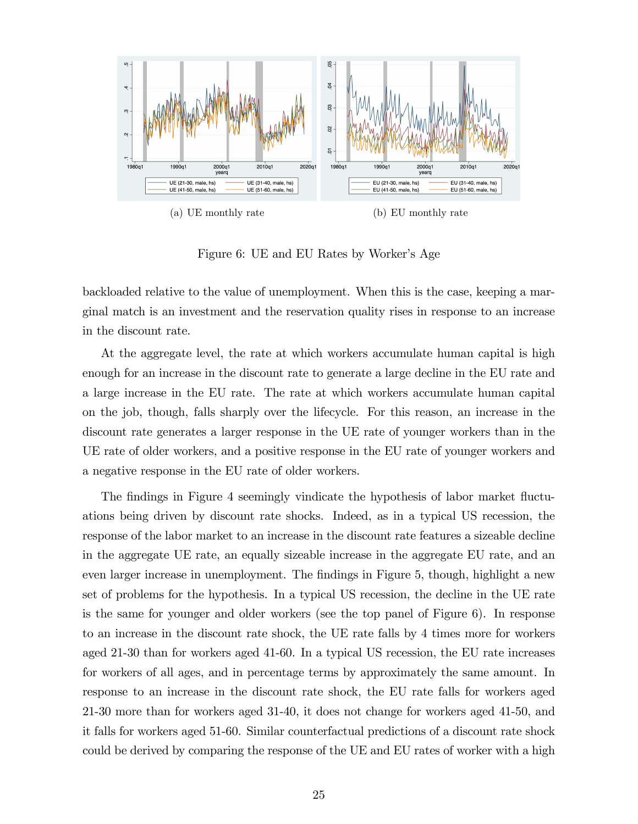

Figure 6: UE and EU Rates by Worker's Age

backloaded relative to the value of unemployment. When this is the case, keeping a marginal match is an investment and the reservation quality rises in response to an increase in the discount rate.

At the aggregate level, the rate at which workers accumulate human capital is high enough for an increase in the discount rate to generate a large decline in the EU rate and a large increase in the EU rate. The rate at which workers accumulate human capital on the job, though, falls sharply over the lifecycle. For this reason, an increase in the discount rate generates a larger response in the UE rate of younger workers than in the UE rate of older workers, and a positive response in the EU rate of younger workers and a negative response in the EU rate of older workers.

The findings in Figure 4 seemingly vindicate the hypothesis of labor market fluctuations being driven by discount rate shocks. Indeed, as in a typical US recession, the response of the labor market to an increase in the discount rate features a sizeable decline in the aggregate UE rate, an equally sizeable increase in the aggregate EU rate, and an even larger increase in unemployment. The findings in Figure 5, though, highlight a new set of problems for the hypothesis. In a typical US recession, the decline in the UE rate is the same for younger and older workers (see the top panel of Figure 6). In response to an increase in the discount rate shock, the UE rate falls by 4 times more for workers aged 21-30 than for workers aged 41-60. In a typical US recession, the EU rate increases for workers of all ages, and in percentage terms by approximately the same amount. In response to an increase in the discount rate shock, the EU rate falls for workers aged 21-30 more than for workers aged 31-40, it does not change for workers aged 41-50, and it falls for workers aged 51-60. Similar counterfactual predictions of a discount rate shock could be derived by comparing the response of the UE and EU rates of worker with a high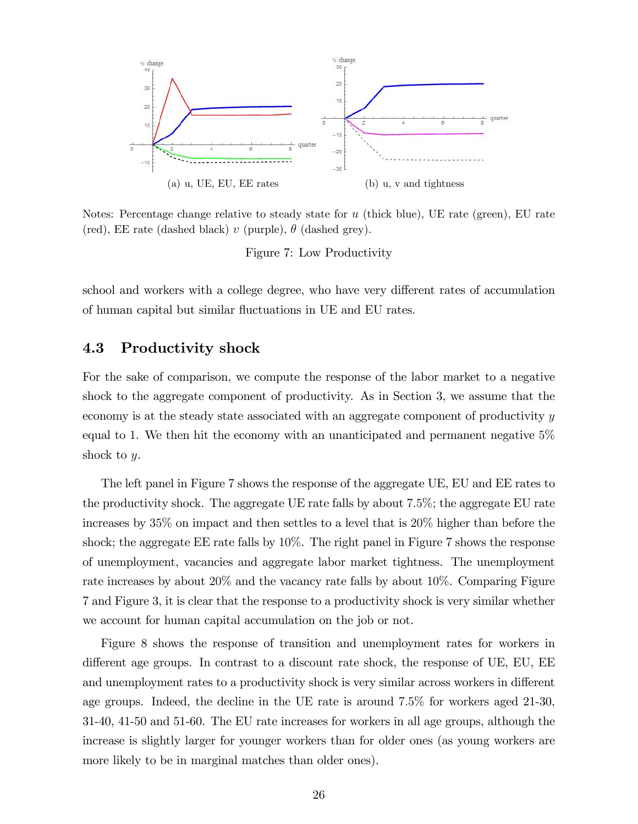

Notes: Percentage change relative to steady state for  $u$  (thick blue), UE rate (green), EU rate (red), EE rate (dashed black) v (purple),  $\theta$  (dashed grey).

Figure 7: Low Productivity

school and workers with a college degree, who have very different rates of accumulation of human capital but similar fluctuations in UE and EU rates.

#### 4.3 Productivity shock

For the sake of comparison, we compute the response of the labor market to a negative shock to the aggregate component of productivity. As in Section 3, we assume that the economy is at the steady state associated with an aggregate component of productivity y equal to 1. We then hit the economy with an unanticipated and permanent negative 5% shock to y.

The left panel in Figure 7 shows the response of the aggregate UE, EU and EE rates to the productivity shock. The aggregate UE rate falls by about 7:5%; the aggregate EU rate increases by 35% on impact and then settles to a level that is 20% higher than before the shock; the aggregate EE rate falls by 10%. The right panel in Figure 7 shows the response of unemployment, vacancies and aggregate labor market tightness. The unemployment rate increases by about 20% and the vacancy rate falls by about 10%. Comparing Figure 7 and Figure 3, it is clear that the response to a productivity shock is very similar whether we account for human capital accumulation on the job or not.

Figure 8 shows the response of transition and unemployment rates for workers in different age groups. In contrast to a discount rate shock, the response of UE, EU, EE and unemployment rates to a productivity shock is very similar across workers in different age groups. Indeed, the decline in the UE rate is around 7:5% for workers aged 21-30, 31-40, 41-50 and 51-60. The EU rate increases for workers in all age groups, although the increase is slightly larger for younger workers than for older ones (as young workers are more likely to be in marginal matches than older ones).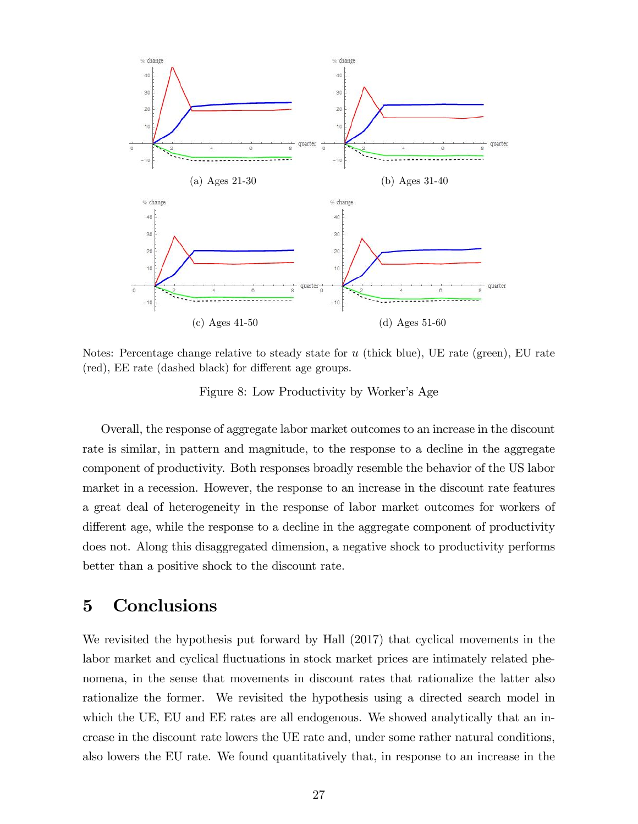

Notes: Percentage change relative to steady state for  $u$  (thick blue), UE rate (green), EU rate (red), EE rate (dashed black) for different age groups.

Figure 8: Low Productivity by Worker's Age

Overall, the response of aggregate labor market outcomes to an increase in the discount rate is similar, in pattern and magnitude, to the response to a decline in the aggregate component of productivity. Both responses broadly resemble the behavior of the US labor market in a recession. However, the response to an increase in the discount rate features a great deal of heterogeneity in the response of labor market outcomes for workers of different age, while the response to a decline in the aggregate component of productivity does not. Along this disaggregated dimension, a negative shock to productivity performs better than a positive shock to the discount rate.

## 5 Conclusions

We revisited the hypothesis put forward by Hall (2017) that cyclical movements in the labor market and cyclical fluctuations in stock market prices are intimately related phenomena, in the sense that movements in discount rates that rationalize the latter also rationalize the former. We revisited the hypothesis using a directed search model in which the UE, EU and EE rates are all endogenous. We showed analytically that an increase in the discount rate lowers the UE rate and, under some rather natural conditions, also lowers the EU rate. We found quantitatively that, in response to an increase in the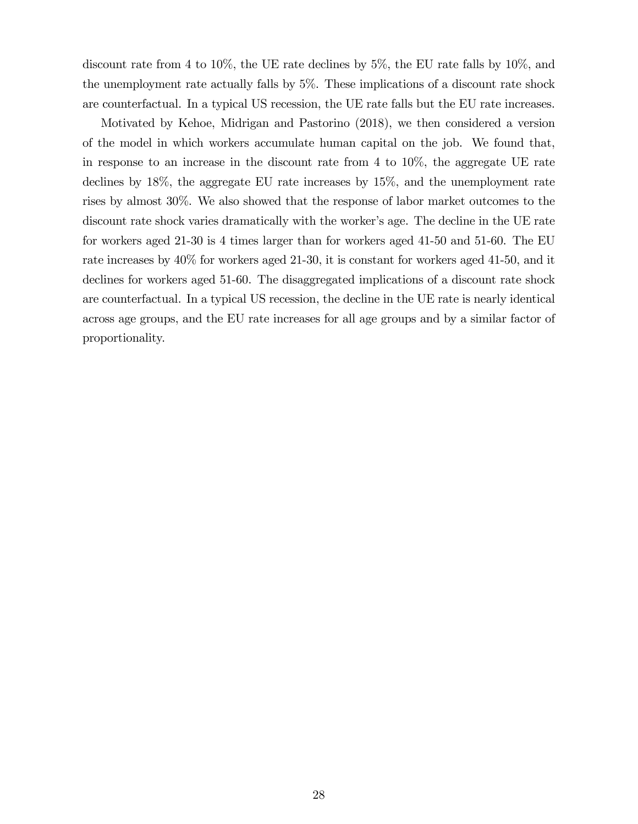discount rate from 4 to 10%, the UE rate declines by 5%, the EU rate falls by 10%, and the unemployment rate actually falls by 5%. These implications of a discount rate shock are counterfactual. In a typical US recession, the UE rate falls but the EU rate increases.

Motivated by Kehoe, Midrigan and Pastorino (2018), we then considered a version of the model in which workers accumulate human capital on the job. We found that, in response to an increase in the discount rate from 4 to 10%, the aggregate UE rate declines by 18%, the aggregate EU rate increases by 15%, and the unemployment rate rises by almost 30%. We also showed that the response of labor market outcomes to the discount rate shock varies dramatically with the worker's age. The decline in the UE rate for workers aged 21-30 is 4 times larger than for workers aged 41-50 and 51-60. The EU rate increases by 40% for workers aged 21-30, it is constant for workers aged 41-50, and it declines for workers aged 51-60. The disaggregated implications of a discount rate shock are counterfactual. In a typical US recession, the decline in the UE rate is nearly identical across age groups, and the EU rate increases for all age groups and by a similar factor of proportionality.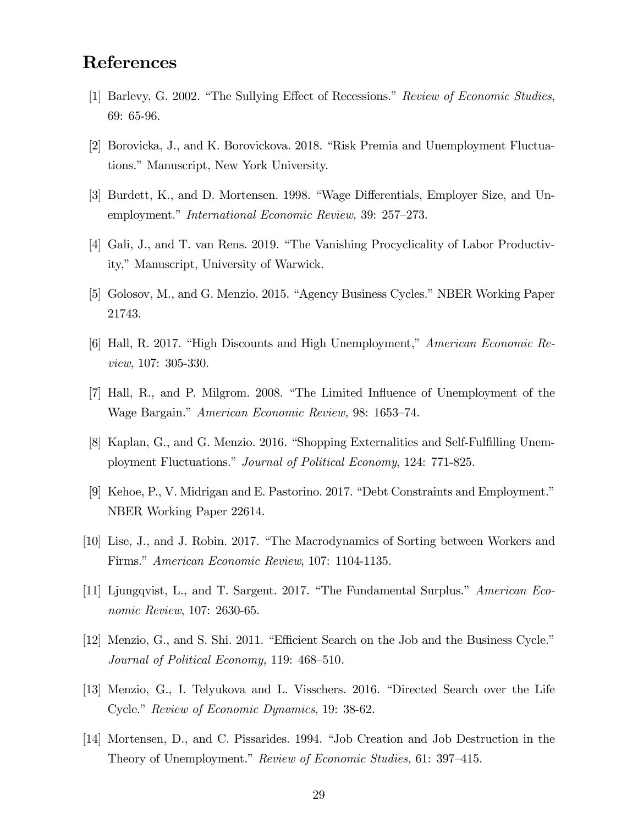## References

- [1] Barlevy, G. 2002. "The Sullying Effect of Recessions." Review of Economic Studies, 69: 65-96.
- [2] Borovicka, J., and K. Borovickova. 2018. "Risk Premia and Unemployment Fluctuations." Manuscript, New York University.
- [3] Burdett, K., and D. Mortensen. 1998. "Wage Differentials, Employer Size, and Unemployment." International Economic Review, 39: 257–273.
- [4] Gali, J., and T. van Rens. 2019. "The Vanishing Procyclicality of Labor Productivity," Manuscript, University of Warwick.
- [5] Golosov, M., and G. Menzio. 2015. "Agency Business Cycles." NBER Working Paper 21743.
- [6] Hall, R. 2017. "High Discounts and High Unemployment," American Economic Review, 107: 305-330.
- [7] Hall, R., and P. Milgrom. 2008. "The Limited Influence of Unemployment of the Wage Bargain." American Economic Review, 98: 1653–74.
- [8] Kaplan, G., and G. Menzio. 2016. "Shopping Externalities and Self-Fulfilling Unemployment Fluctuations." Journal of Political Economy, 124: 771-825.
- [9] Kehoe, P., V. Midrigan and E. Pastorino. 2017. "Debt Constraints and Employment." NBER Working Paper 22614.
- [10] Lise, J., and J. Robin. 2017. "The Macrodynamics of Sorting between Workers and Firms." American Economic Review, 107: 1104-1135.
- [11] Ljungqvist, L., and T. Sargent. 2017. "The Fundamental Surplus." American Economic Review, 107: 2630-65.
- [12] Menzio, G., and S. Shi. 2011. "Efficient Search on the Job and the Business Cycle." Journal of Political Economy, 119:  $468-510$ .
- [13] Menzio, G., I. Telyukova and L. Visschers. 2016. "Directed Search over the Life Cycle." Review of Economic Dynamics, 19: 38-62.
- [14] Mortensen, D., and C. Pissarides. 1994. "Job Creation and Job Destruction in the Theory of Unemployment." Review of Economic Studies, 61: 397–415.